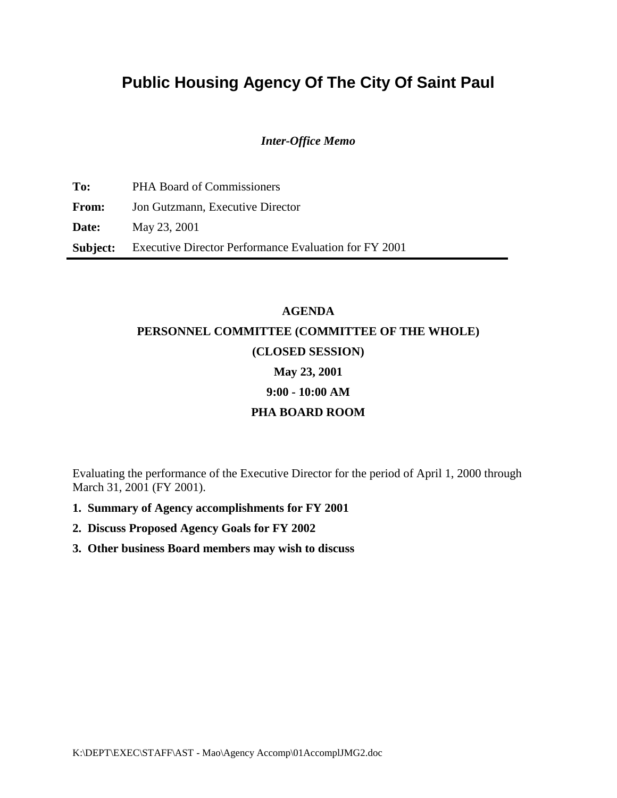# **Public Housing Agency Of The City Of Saint Paul**

#### *Inter-Office Memo*

**To:** PHA Board of Commissioners **From:** Jon Gutzmann, Executive Director **Date:** May 23, 2001 **Subject:** Executive Director Performance Evaluation for FY 2001

# **AGENDA PERSONNEL COMMITTEE (COMMITTEE OF THE WHOLE) (CLOSED SESSION) May 23, 2001 9:00 - 10:00 AM PHA BOARD ROOM**

Evaluating the performance of the Executive Director for the period of April 1, 2000 through March 31, 2001 (FY 2001).

- **1. Summary of Agency accomplishments for FY 2001**
- **2. Discuss Proposed Agency Goals for FY 2002**
- **3. Other business Board members may wish to discuss**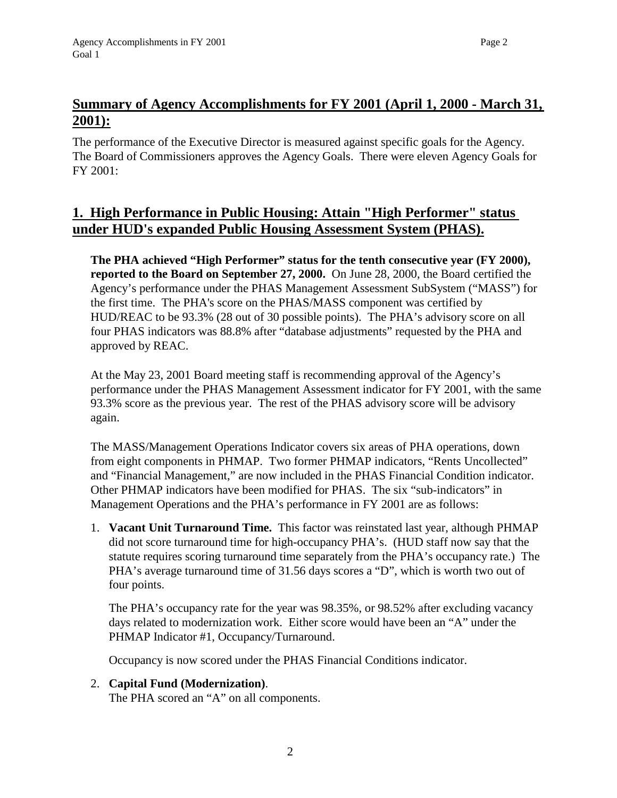# **Summary of Agency Accomplishments for FY 2001 (April 1, 2000 - March 31, 2001):**

The performance of the Executive Director is measured against specific goals for the Agency. The Board of Commissioners approves the Agency Goals. There were eleven Agency Goals for FY 2001:

## **1. High Performance in Public Housing: Attain "High Performer" status under HUD's expanded Public Housing Assessment System (PHAS).**

**The PHA achieved "High Performer" status for the tenth consecutive year (FY 2000), reported to the Board on September 27, 2000.** On June 28, 2000, the Board certified the Agency's performance under the PHAS Management Assessment SubSystem ("MASS") for the first time. The PHA's score on the PHAS/MASS component was certified by HUD/REAC to be 93.3% (28 out of 30 possible points). The PHA's advisory score on all four PHAS indicators was 88.8% after "database adjustments" requested by the PHA and approved by REAC.

At the May 23, 2001 Board meeting staff is recommending approval of the Agency's performance under the PHAS Management Assessment indicator for FY 2001, with the same 93.3% score as the previous year. The rest of the PHAS advisory score will be advisory again.

The MASS/Management Operations Indicator covers six areas of PHA operations, down from eight components in PHMAP. Two former PHMAP indicators, "Rents Uncollected" and "Financial Management," are now included in the PHAS Financial Condition indicator. Other PHMAP indicators have been modified for PHAS. The six "sub-indicators" in Management Operations and the PHA's performance in FY 2001 are as follows:

1. **Vacant Unit Turnaround Time.** This factor was reinstated last year, although PHMAP did not score turnaround time for high-occupancy PHA's. (HUD staff now say that the statute requires scoring turnaround time separately from the PHA's occupancy rate.) The PHA's average turnaround time of 31.56 days scores a "D", which is worth two out of four points.

The PHA's occupancy rate for the year was 98.35%, or 98.52% after excluding vacancy days related to modernization work. Either score would have been an "A" under the PHMAP Indicator #1, Occupancy/Turnaround.

Occupancy is now scored under the PHAS Financial Conditions indicator.

2

2. **Capital Fund (Modernization)**. The PHA scored an "A" on all components.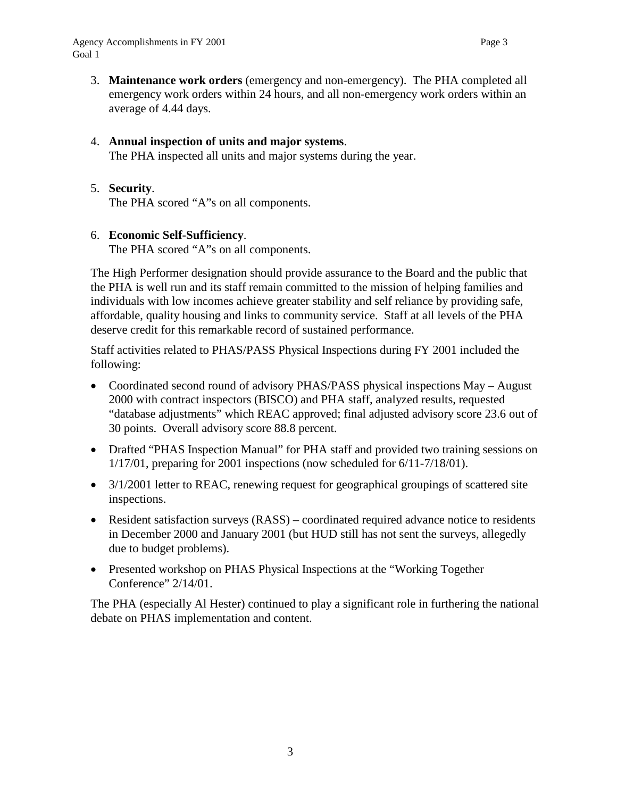3. **Maintenance work orders** (emergency and non-emergency). The PHA completed all emergency work orders within 24 hours, and all non-emergency work orders within an average of 4.44 days.

### 4. **Annual inspection of units and major systems**.

The PHA inspected all units and major systems during the year.

### 5. **Security**.

The PHA scored "A"s on all components.

### 6. **Economic Self-Sufficiency**.

The PHA scored "A"s on all components.

The High Performer designation should provide assurance to the Board and the public that the PHA is well run and its staff remain committed to the mission of helping families and individuals with low incomes achieve greater stability and self reliance by providing safe, affordable, quality housing and links to community service. Staff at all levels of the PHA deserve credit for this remarkable record of sustained performance.

Staff activities related to PHAS/PASS Physical Inspections during FY 2001 included the following:

- Coordinated second round of advisory PHAS/PASS physical inspections May August 2000 with contract inspectors (BISCO) and PHA staff, analyzed results, requested "database adjustments" which REAC approved; final adjusted advisory score 23.6 out of 30 points. Overall advisory score 88.8 percent.
- Drafted "PHAS Inspection Manual" for PHA staff and provided two training sessions on 1/17/01, preparing for 2001 inspections (now scheduled for 6/11-7/18/01).
- 3/1/2001 letter to REAC, renewing request for geographical groupings of scattered site inspections.
- Resident satisfaction surveys (RASS) coordinated required advance notice to residents in December 2000 and January 2001 (but HUD still has not sent the surveys, allegedly due to budget problems).
- Presented workshop on PHAS Physical Inspections at the "Working Together" Conference" 2/14/01.

The PHA (especially Al Hester) continued to play a significant role in furthering the national debate on PHAS implementation and content.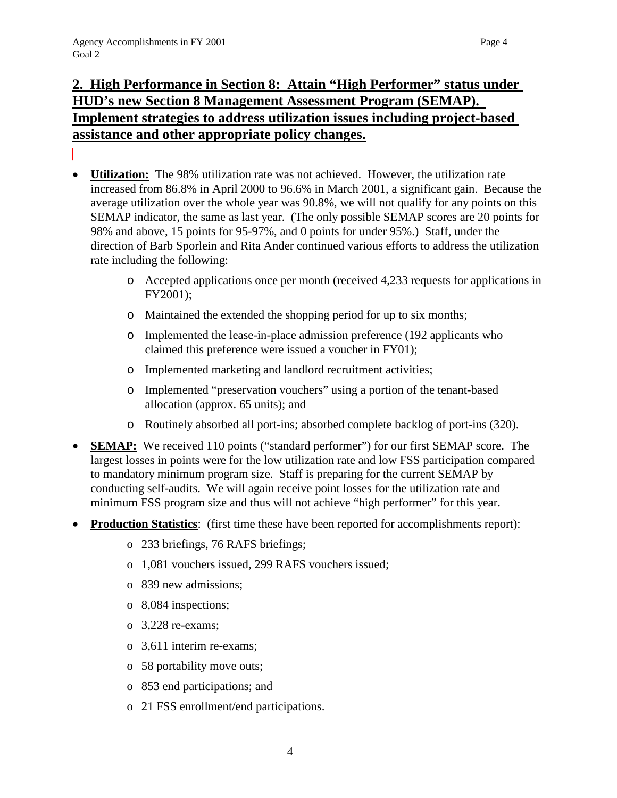# **2. High Performance in Section 8: Attain "High Performer" status under HUD's new Section 8 Management Assessment Program (SEMAP). Implement strategies to address utilization issues including project-based assistance and other appropriate policy changes.**

- **Utilization:** The 98% utilization rate was not achieved. However, the utilization rate increased from 86.8% in April 2000 to 96.6% in March 2001, a significant gain. Because the average utilization over the whole year was 90.8%, we will not qualify for any points on this SEMAP indicator, the same as last year. (The only possible SEMAP scores are 20 points for 98% and above, 15 points for 95-97%, and 0 points for under 95%.) Staff, under the direction of Barb Sporlein and Rita Ander continued various efforts to address the utilization rate including the following:
	- o Accepted applications once per month (received 4,233 requests for applications in FY2001);
	- o Maintained the extended the shopping period for up to six months;
	- o Implemented the lease-in-place admission preference (192 applicants who claimed this preference were issued a voucher in FY01);
	- o Implemented marketing and landlord recruitment activities;
	- o Implemented "preservation vouchers" using a portion of the tenant-based allocation (approx. 65 units); and
	- o Routinely absorbed all port-ins; absorbed complete backlog of port-ins (320).
- **SEMAP:** We received 110 points ("standard performer") for our first SEMAP score. The largest losses in points were for the low utilization rate and low FSS participation compared to mandatory minimum program size. Staff is preparing for the current SEMAP by conducting self-audits. We will again receive point losses for the utilization rate and minimum FSS program size and thus will not achieve "high performer" for this year.
- **Production Statistics**: (first time these have been reported for accomplishments report):
	- o 233 briefings, 76 RAFS briefings;
	- o 1,081 vouchers issued, 299 RAFS vouchers issued;
	- o 839 new admissions;
	- o 8,084 inspections;
	- o 3,228 re-exams;
	- o 3,611 interim re-exams;
	- o 58 portability move outs;
	- o 853 end participations; and
	- o 21 FSS enrollment/end participations.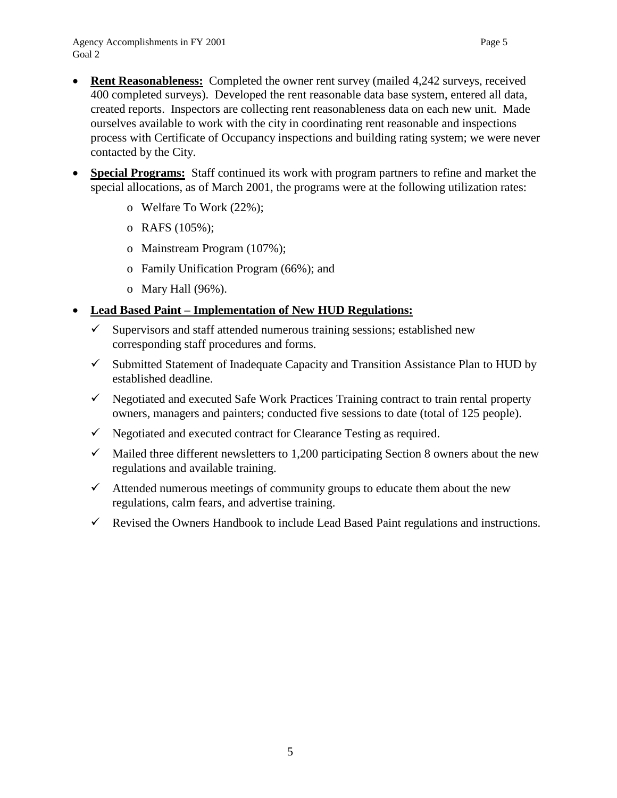- **Rent Reasonableness:** Completed the owner rent survey (mailed 4,242 surveys, received 400 completed surveys). Developed the rent reasonable data base system, entered all data, created reports. Inspectors are collecting rent reasonableness data on each new unit. Made ourselves available to work with the city in coordinating rent reasonable and inspections process with Certificate of Occupancy inspections and building rating system; we were never contacted by the City.
- **Special Programs:** Staff continued its work with program partners to refine and market the special allocations, as of March 2001, the programs were at the following utilization rates:
	- o Welfare To Work (22%);
	- o RAFS (105%);
	- o Mainstream Program (107%);
	- o Family Unification Program (66%); and
	- o Mary Hall (96%).

### • **Lead Based Paint – Implementation of New HUD Regulations:**

- $\checkmark$  Supervisors and staff attended numerous training sessions; established new corresponding staff procedures and forms.
- $\checkmark$  Submitted Statement of Inadequate Capacity and Transition Assistance Plan to HUD by established deadline.
- $\checkmark$  Negotiated and executed Safe Work Practices Training contract to train rental property owners, managers and painters; conducted five sessions to date (total of 125 people).
- $\checkmark$  Negotiated and executed contract for Clearance Testing as required.
- $\checkmark$  Mailed three different newsletters to 1,200 participating Section 8 owners about the new regulations and available training.
- $\checkmark$  Attended numerous meetings of community groups to educate them about the new regulations, calm fears, and advertise training.
- $\checkmark$  Revised the Owners Handbook to include Lead Based Paint regulations and instructions.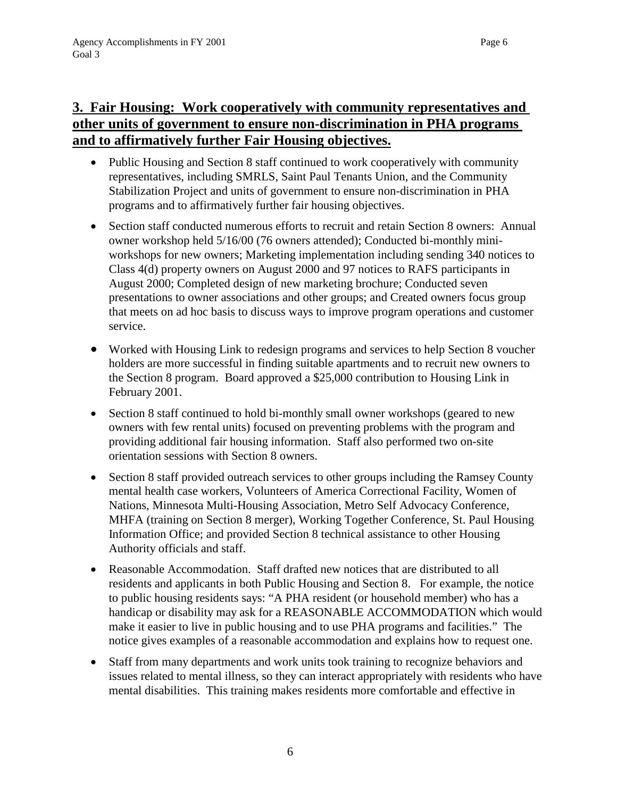- Public Housing and Section 8 staff continued to work cooperatively with community representatives, including SMRLS, Saint Paul Tenants Union, and the Community Stabilization Project and units of government to ensure non-discrimination in PHA programs and to affirmatively further fair housing objectives.
- Section staff conducted numerous efforts to recruit and retain Section 8 owners: Annual owner workshop held 5/16/00 (76 owners attended); Conducted bi-monthly miniworkshops for new owners; Marketing implementation including sending 340 notices to Class 4(d) property owners on August 2000 and 97 notices to RAFS participants in August 2000; Completed design of new marketing brochure; Conducted seven presentations to owner associations and other groups; and Created owners focus group that meets on ad hoc basis to discuss ways to improve program operations and customer service.
- Worked with Housing Link to redesign programs and services to help Section 8 voucher holders are more successful in finding suitable apartments and to recruit new owners to the Section 8 program. Board approved a \$25,000 contribution to Housing Link in February 2001.
- Section 8 staff continued to hold bi-monthly small owner workshops (geared to new owners with few rental units) focused on preventing problems with the program and providing additional fair housing information. Staff also performed two on-site orientation sessions with Section 8 owners.
- Section 8 staff provided outreach services to other groups including the Ramsey County mental health case workers, Volunteers of America Correctional Facility, Women of Nations, Minnesota Multi-Housing Association, Metro Self Advocacy Conference, MHFA (training on Section 8 merger), Working Together Conference, St. Paul Housing Information Office; and provided Section 8 technical assistance to other Housing Authority officials and staff.
- Reasonable Accommodation. Staff drafted new notices that are distributed to all residents and applicants in both Public Housing and Section 8. For example, the notice to public housing residents says: "A PHA resident (or household member) who has a handicap or disability may ask for a REASONABLE ACCOMMODATION which would make it easier to live in public housing and to use PHA programs and facilities." The notice gives examples of a reasonable accommodation and explains how to request one.
- Staff from many departments and work units took training to recognize behaviors and issues related to mental illness, so they can interact appropriately with residents who have mental disabilities. This training makes residents more comfortable and effective in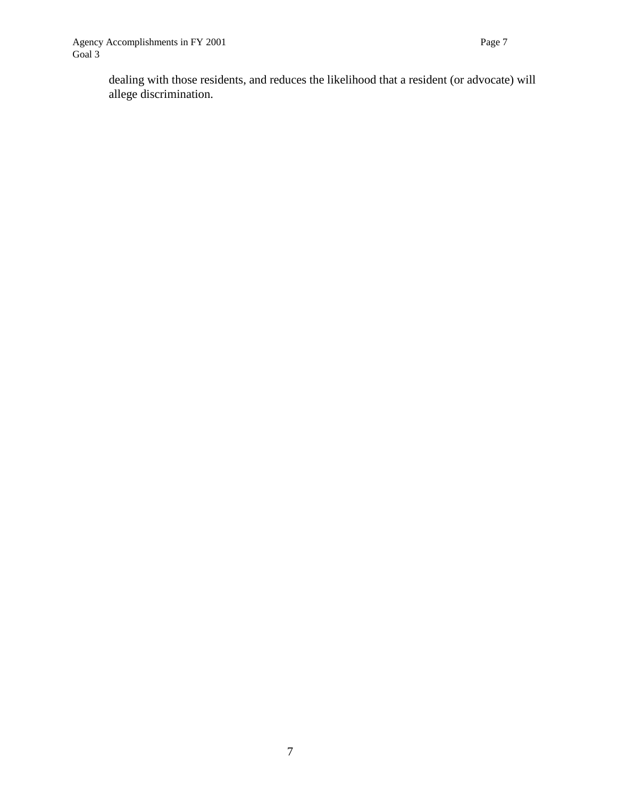dealing with those residents, and reduces the likelihood that a resident (or advocate) will allege discrimination.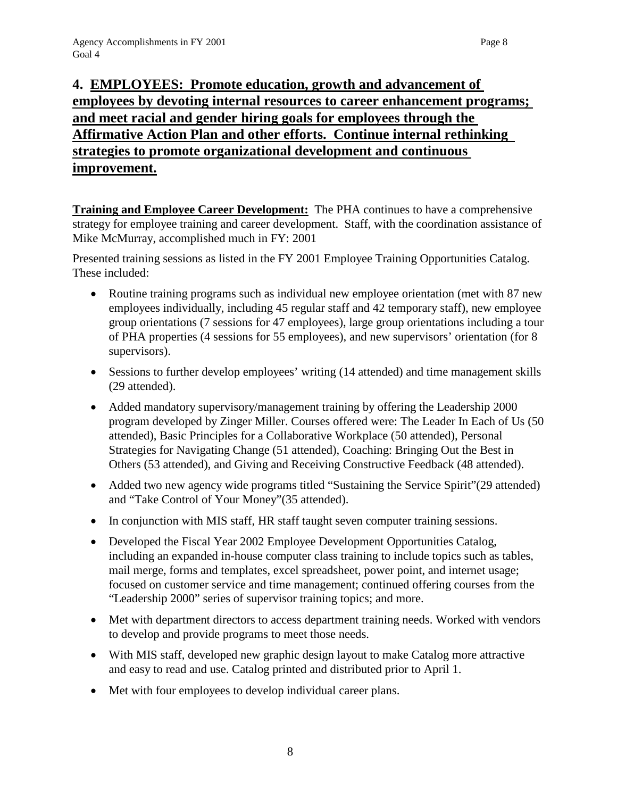# **4. EMPLOYEES: Promote education, growth and advancement of employees by devoting internal resources to career enhancement programs; and meet racial and gender hiring goals for employees through the Affirmative Action Plan and other efforts. Continue internal rethinking strategies to promote organizational development and continuous improvement.**

**Training and Employee Career Development:** The PHA continues to have a comprehensive strategy for employee training and career development. Staff, with the coordination assistance of Mike McMurray, accomplished much in FY: 2001

Presented training sessions as listed in the FY 2001 Employee Training Opportunities Catalog. These included:

- Routine training programs such as individual new employee orientation (met with 87 new employees individually, including 45 regular staff and 42 temporary staff), new employee group orientations (7 sessions for 47 employees), large group orientations including a tour of PHA properties (4 sessions for 55 employees), and new supervisors' orientation (for 8 supervisors).
- Sessions to further develop employees' writing (14 attended) and time management skills (29 attended).
- Added mandatory supervisory/management training by offering the Leadership 2000 program developed by Zinger Miller. Courses offered were: The Leader In Each of Us (50 attended), Basic Principles for a Collaborative Workplace (50 attended), Personal Strategies for Navigating Change (51 attended), Coaching: Bringing Out the Best in Others (53 attended), and Giving and Receiving Constructive Feedback (48 attended).
- Added two new agency wide programs titled "Sustaining the Service Spirit" (29 attended) and "Take Control of Your Money"(35 attended).
- In conjunction with MIS staff, HR staff taught seven computer training sessions.
- Developed the Fiscal Year 2002 Employee Development Opportunities Catalog, including an expanded in-house computer class training to include topics such as tables, mail merge, forms and templates, excel spreadsheet, power point, and internet usage; focused on customer service and time management; continued offering courses from the "Leadership 2000" series of supervisor training topics; and more.
- Met with department directors to access department training needs. Worked with vendors to develop and provide programs to meet those needs.
- With MIS staff, developed new graphic design layout to make Catalog more attractive and easy to read and use. Catalog printed and distributed prior to April 1.
- Met with four employees to develop individual career plans.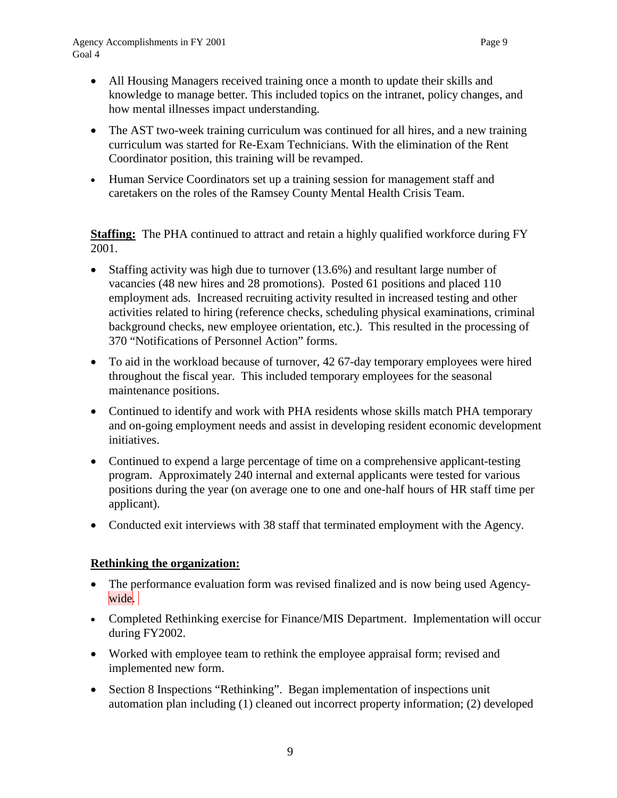- All Housing Managers received training once a month to update their skills and knowledge to manage better. This included topics on the intranet, policy changes, and how mental illnesses impact understanding.
- The AST two-week training curriculum was continued for all hires, and a new training curriculum was started for Re-Exam Technicians. With the elimination of the Rent Coordinator position, this training will be revamped.
- Human Service Coordinators set up a training session for management staff and caretakers on the roles of the Ramsey County Mental Health Crisis Team.

**Staffing:** The PHA continued to attract and retain a highly qualified workforce during FY 2001.

- Staffing activity was high due to turnover (13.6%) and resultant large number of vacancies (48 new hires and 28 promotions). Posted 61 positions and placed 110 employment ads. Increased recruiting activity resulted in increased testing and other activities related to hiring (reference checks, scheduling physical examinations, criminal background checks, new employee orientation, etc.). This resulted in the processing of 370 "Notifications of Personnel Action" forms.
- To aid in the workload because of turnover, 42 67-day temporary employees were hired throughout the fiscal year. This included temporary employees for the seasonal maintenance positions.
- Continued to identify and work with PHA residents whose skills match PHA temporary and on-going employment needs and assist in developing resident economic development initiatives.
- Continued to expend a large percentage of time on a comprehensive applicant-testing program. Approximately 240 internal and external applicants were tested for various positions during the year (on average one to one and one-half hours of HR staff time per applicant).
- Conducted exit interviews with 38 staff that terminated employment with the Agency.

### **Rethinking the organization:**

- The performance evaluation form was revised finalized and is now being used Agencywide.
- Completed Rethinking exercise for Finance/MIS Department. Implementation will occur during FY2002.
- Worked with employee team to rethink the employee appraisal form; revised and implemented new form.
- Section 8 Inspections "Rethinking". Began implementation of inspections unit automation plan including (1) cleaned out incorrect property information; (2) developed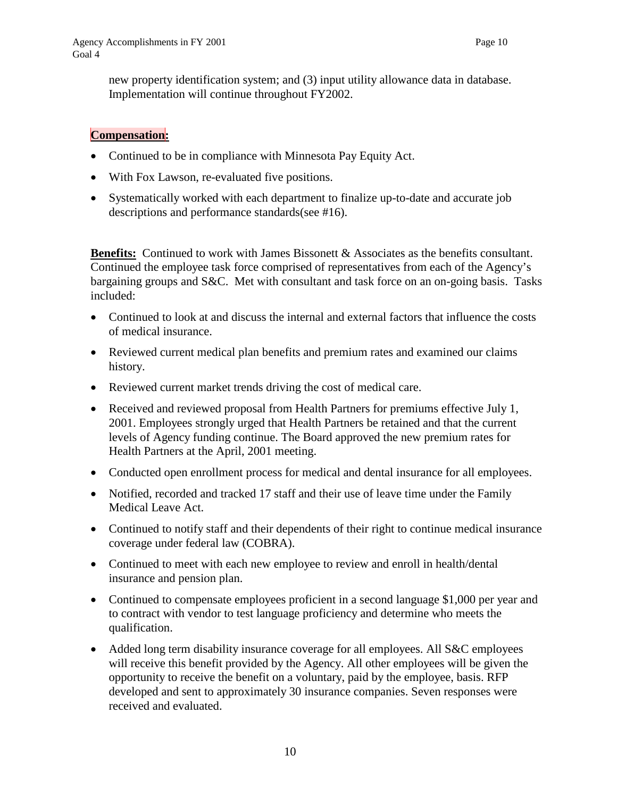new property identification system; and (3) input utility allowance data in database. Implementation will continue throughout FY2002.

### **Compensation:**

- Continued to be in compliance with Minnesota Pay Equity Act.
- With Fox Lawson, re-evaluated five positions.
- Systematically worked with each department to finalize up-to-date and accurate job descriptions and performance standards(see #16).

**Benefits:** Continued to work with James Bissonett & Associates as the benefits consultant. Continued the employee task force comprised of representatives from each of the Agency's bargaining groups and S&C. Met with consultant and task force on an on-going basis. Tasks included:

- Continued to look at and discuss the internal and external factors that influence the costs of medical insurance.
- Reviewed current medical plan benefits and premium rates and examined our claims history.
- Reviewed current market trends driving the cost of medical care.
- Received and reviewed proposal from Health Partners for premiums effective July 1, 2001. Employees strongly urged that Health Partners be retained and that the current levels of Agency funding continue. The Board approved the new premium rates for Health Partners at the April, 2001 meeting.
- Conducted open enrollment process for medical and dental insurance for all employees.
- Notified, recorded and tracked 17 staff and their use of leave time under the Family Medical Leave Act.
- Continued to notify staff and their dependents of their right to continue medical insurance coverage under federal law (COBRA).
- Continued to meet with each new employee to review and enroll in health/dental insurance and pension plan.
- Continued to compensate employees proficient in a second language \$1,000 per year and to contract with vendor to test language proficiency and determine who meets the qualification.
- Added long term disability insurance coverage for all employees. All S&C employees will receive this benefit provided by the Agency. All other employees will be given the opportunity to receive the benefit on a voluntary, paid by the employee, basis. RFP developed and sent to approximately 30 insurance companies. Seven responses were received and evaluated.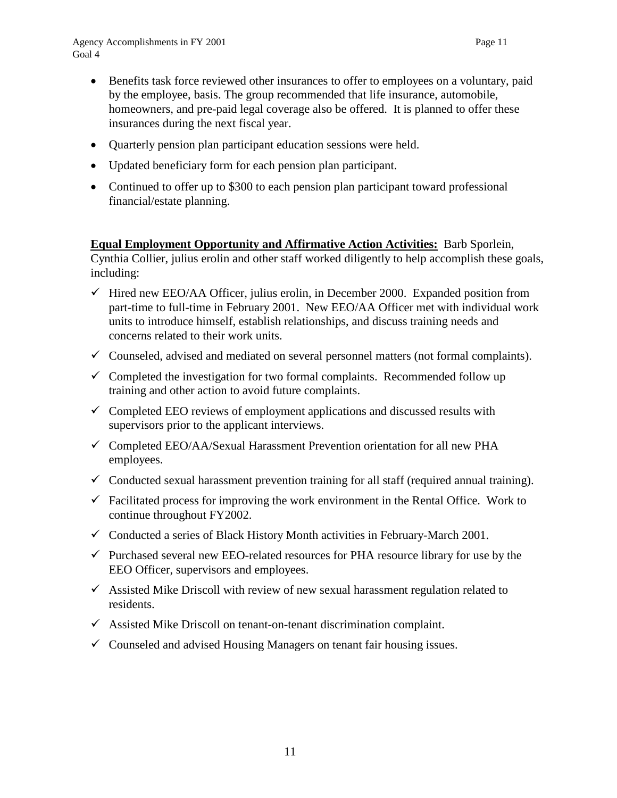- Benefits task force reviewed other insurances to offer to employees on a voluntary, paid by the employee, basis. The group recommended that life insurance, automobile, homeowners, and pre-paid legal coverage also be offered. It is planned to offer these insurances during the next fiscal year.
- Quarterly pension plan participant education sessions were held.
- Updated beneficiary form for each pension plan participant.
- Continued to offer up to \$300 to each pension plan participant toward professional financial/estate planning.

**Equal Employment Opportunity and Affirmative Action Activities:** Barb Sporlein, Cynthia Collier, julius erolin and other staff worked diligently to help accomplish these goals, including:

- $\checkmark$  Hired new EEO/AA Officer, julius erolin, in December 2000. Expanded position from part-time to full-time in February 2001. New EEO/AA Officer met with individual work units to introduce himself, establish relationships, and discuss training needs and concerns related to their work units.
- $\checkmark$  Counseled, advised and mediated on several personnel matters (not formal complaints).
- $\checkmark$  Completed the investigation for two formal complaints. Recommended follow up training and other action to avoid future complaints.
- $\checkmark$  Completed EEO reviews of employment applications and discussed results with supervisors prior to the applicant interviews.
- $\checkmark$  Completed EEO/AA/Sexual Harassment Prevention orientation for all new PHA employees.
- $\checkmark$  Conducted sexual harassment prevention training for all staff (required annual training).
- $\checkmark$  Facilitated process for improving the work environment in the Rental Office. Work to continue throughout FY2002.
- $\checkmark$  Conducted a series of Black History Month activities in February-March 2001.
- $\checkmark$  Purchased several new EEO-related resources for PHA resource library for use by the EEO Officer, supervisors and employees.
- $\checkmark$  Assisted Mike Driscoll with review of new sexual harassment regulation related to residents.
- $\checkmark$  Assisted Mike Driscoll on tenant-on-tenant discrimination complaint.
- $\checkmark$  Counseled and advised Housing Managers on tenant fair housing issues.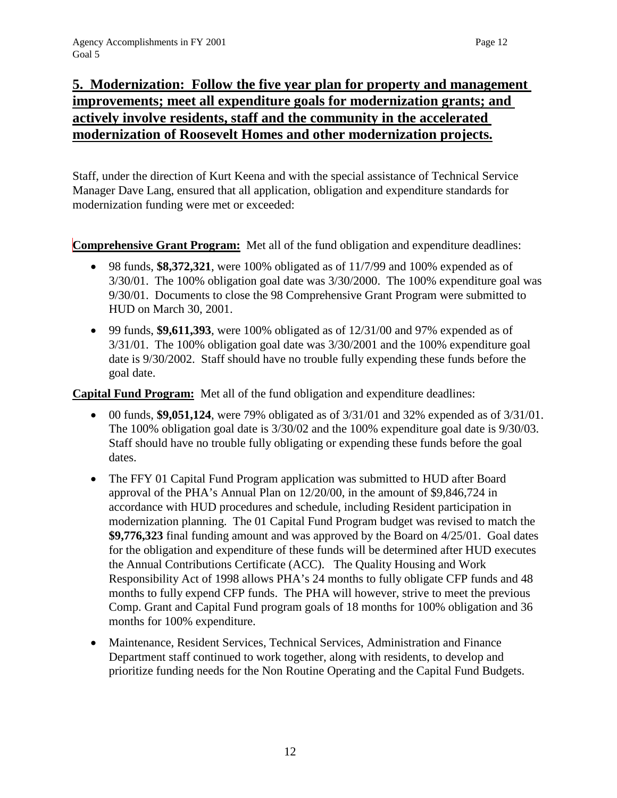# **5. Modernization: Follow the five year plan for property and management improvements; meet all expenditure goals for modernization grants; and actively involve residents, staff and the community in the accelerated modernization of Roosevelt Homes and other modernization projects.**

Staff, under the direction of Kurt Keena and with the special assistance of Technical Service Manager Dave Lang, ensured that all application, obligation and expenditure standards for modernization funding were met or exceeded:

**Comprehensive Grant Program:** Met all of the fund obligation and expenditure deadlines:

- 98 funds, **\$8,372,321**, were 100% obligated as of 11/7/99 and 100% expended as of 3/30/01. The 100% obligation goal date was 3/30/2000. The 100% expenditure goal was 9/30/01. Documents to close the 98 Comprehensive Grant Program were submitted to HUD on March 30, 2001.
- 99 funds, **\$9,611,393**, were 100% obligated as of 12/31/00 and 97% expended as of 3/31/01. The 100% obligation goal date was 3/30/2001 and the 100% expenditure goal date is 9/30/2002. Staff should have no trouble fully expending these funds before the goal date.

**Capital Fund Program:** Met all of the fund obligation and expenditure deadlines:

- 00 funds, **\$9,051,124**, were 79% obligated as of 3/31/01 and 32% expended as of 3/31/01. The 100% obligation goal date is 3/30/02 and the 100% expenditure goal date is 9/30/03. Staff should have no trouble fully obligating or expending these funds before the goal dates.
- The FFY 01 Capital Fund Program application was submitted to HUD after Board approval of the PHA's Annual Plan on 12/20/00, in the amount of \$9,846,724 in accordance with HUD procedures and schedule, including Resident participation in modernization planning. The 01 Capital Fund Program budget was revised to match the **\$9,776,323** final funding amount and was approved by the Board on 4/25/01. Goal dates for the obligation and expenditure of these funds will be determined after HUD executes the Annual Contributions Certificate (ACC). The Quality Housing and Work Responsibility Act of 1998 allows PHA's 24 months to fully obligate CFP funds and 48 months to fully expend CFP funds. The PHA will however, strive to meet the previous Comp. Grant and Capital Fund program goals of 18 months for 100% obligation and 36 months for 100% expenditure.
- Maintenance, Resident Services, Technical Services, Administration and Finance Department staff continued to work together, along with residents, to develop and prioritize funding needs for the Non Routine Operating and the Capital Fund Budgets.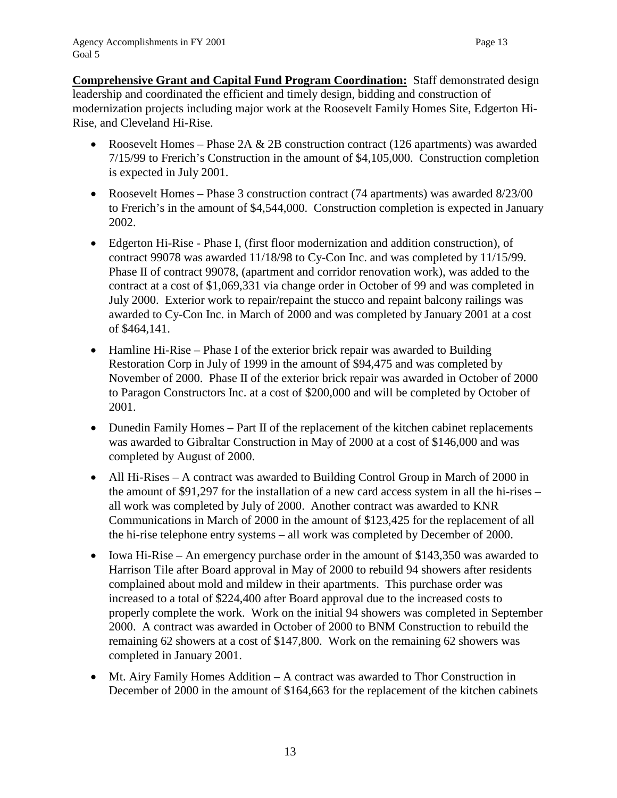**Comprehensive Grant and Capital Fund Program Coordination:** Staff demonstrated design leadership and coordinated the efficient and timely design, bidding and construction of modernization projects including major work at the Roosevelt Family Homes Site, Edgerton Hi-Rise, and Cleveland Hi-Rise.

- Roosevelt Homes Phase 2A  $&$  2B construction contract (126 apartments) was awarded 7/15/99 to Frerich's Construction in the amount of \$4,105,000. Construction completion is expected in July 2001.
- Roosevelt Homes Phase 3 construction contract (74 apartments) was awarded 8/23/00 to Frerich's in the amount of \$4,544,000. Construction completion is expected in January 2002.
- Edgerton Hi-Rise Phase I, (first floor modernization and addition construction), of contract 99078 was awarded 11/18/98 to Cy-Con Inc. and was completed by 11/15/99. Phase II of contract 99078, (apartment and corridor renovation work), was added to the contract at a cost of \$1,069,331 via change order in October of 99 and was completed in July 2000. Exterior work to repair/repaint the stucco and repaint balcony railings was awarded to Cy-Con Inc. in March of 2000 and was completed by January 2001 at a cost of \$464,141.
- Hamline Hi-Rise Phase I of the exterior brick repair was awarded to Building Restoration Corp in July of 1999 in the amount of \$94,475 and was completed by November of 2000. Phase II of the exterior brick repair was awarded in October of 2000 to Paragon Constructors Inc. at a cost of \$200,000 and will be completed by October of 2001.
- Dunedin Family Homes Part II of the replacement of the kitchen cabinet replacements was awarded to Gibraltar Construction in May of 2000 at a cost of \$146,000 and was completed by August of 2000.
- All Hi-Rises A contract was awarded to Building Control Group in March of 2000 in the amount of \$91,297 for the installation of a new card access system in all the hi-rises – all work was completed by July of 2000. Another contract was awarded to KNR Communications in March of 2000 in the amount of \$123,425 for the replacement of all the hi-rise telephone entry systems – all work was completed by December of 2000.
- Iowa Hi-Rise An emergency purchase order in the amount of \$143,350 was awarded to Harrison Tile after Board approval in May of 2000 to rebuild 94 showers after residents complained about mold and mildew in their apartments. This purchase order was increased to a total of \$224,400 after Board approval due to the increased costs to properly complete the work. Work on the initial 94 showers was completed in September 2000. A contract was awarded in October of 2000 to BNM Construction to rebuild the remaining 62 showers at a cost of \$147,800. Work on the remaining 62 showers was completed in January 2001.
- Mt. Airy Family Homes Addition A contract was awarded to Thor Construction in December of 2000 in the amount of \$164,663 for the replacement of the kitchen cabinets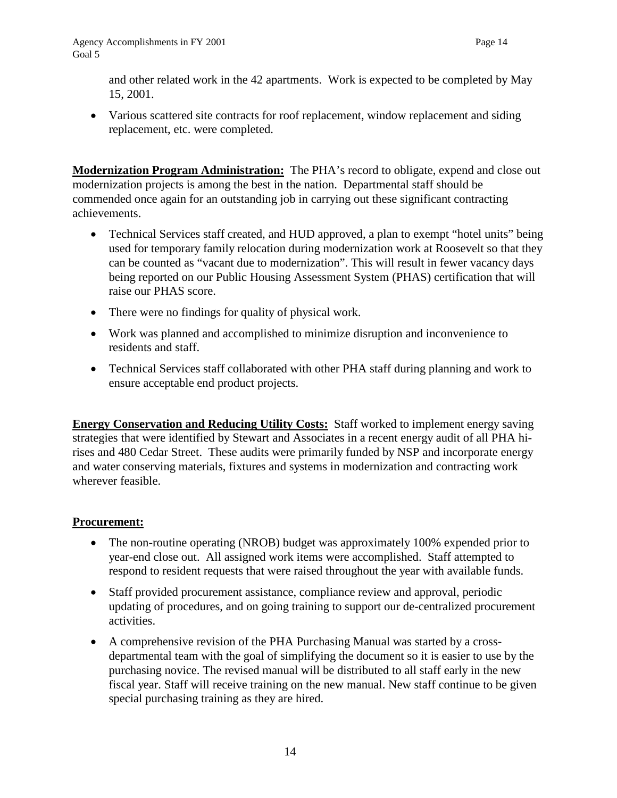and other related work in the 42 apartments. Work is expected to be completed by May 15, 2001.

• Various scattered site contracts for roof replacement, window replacement and siding replacement, etc. were completed.

**Modernization Program Administration:** The PHA's record to obligate, expend and close out modernization projects is among the best in the nation. Departmental staff should be commended once again for an outstanding job in carrying out these significant contracting achievements.

- Technical Services staff created, and HUD approved, a plan to exempt "hotel units" being used for temporary family relocation during modernization work at Roosevelt so that they can be counted as "vacant due to modernization". This will result in fewer vacancy days being reported on our Public Housing Assessment System (PHAS) certification that will raise our PHAS score.
- There were no findings for quality of physical work.
- Work was planned and accomplished to minimize disruption and inconvenience to residents and staff.
- Technical Services staff collaborated with other PHA staff during planning and work to ensure acceptable end product projects.

**Energy Conservation and Reducing Utility Costs:** Staff worked to implement energy saving strategies that were identified by Stewart and Associates in a recent energy audit of all PHA hirises and 480 Cedar Street. These audits were primarily funded by NSP and incorporate energy and water conserving materials, fixtures and systems in modernization and contracting work wherever feasible.

### **Procurement:**

- The non-routine operating (NROB) budget was approximately 100% expended prior to year-end close out. All assigned work items were accomplished. Staff attempted to respond to resident requests that were raised throughout the year with available funds.
- Staff provided procurement assistance, compliance review and approval, periodic updating of procedures, and on going training to support our de-centralized procurement activities.
- A comprehensive revision of the PHA Purchasing Manual was started by a crossdepartmental team with the goal of simplifying the document so it is easier to use by the purchasing novice. The revised manual will be distributed to all staff early in the new fiscal year. Staff will receive training on the new manual. New staff continue to be given special purchasing training as they are hired.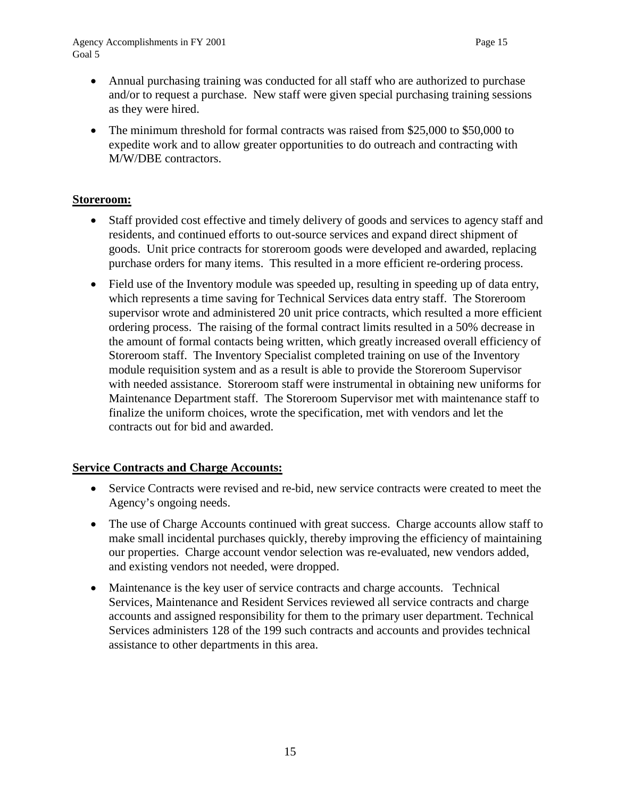- Annual purchasing training was conducted for all staff who are authorized to purchase and/or to request a purchase. New staff were given special purchasing training sessions as they were hired.
- The minimum threshold for formal contracts was raised from \$25,000 to \$50,000 to expedite work and to allow greater opportunities to do outreach and contracting with M/W/DBE contractors.

#### **Storeroom:**

- Staff provided cost effective and timely delivery of goods and services to agency staff and residents, and continued efforts to out-source services and expand direct shipment of goods. Unit price contracts for storeroom goods were developed and awarded, replacing purchase orders for many items. This resulted in a more efficient re-ordering process.
- Field use of the Inventory module was speeded up, resulting in speeding up of data entry, which represents a time saving for Technical Services data entry staff. The Storeroom supervisor wrote and administered 20 unit price contracts, which resulted a more efficient ordering process. The raising of the formal contract limits resulted in a 50% decrease in the amount of formal contacts being written, which greatly increased overall efficiency of Storeroom staff. The Inventory Specialist completed training on use of the Inventory module requisition system and as a result is able to provide the Storeroom Supervisor with needed assistance. Storeroom staff were instrumental in obtaining new uniforms for Maintenance Department staff. The Storeroom Supervisor met with maintenance staff to finalize the uniform choices, wrote the specification, met with vendors and let the contracts out for bid and awarded.

### **Service Contracts and Charge Accounts:**

- Service Contracts were revised and re-bid, new service contracts were created to meet the Agency's ongoing needs.
- The use of Charge Accounts continued with great success. Charge accounts allow staff to make small incidental purchases quickly, thereby improving the efficiency of maintaining our properties. Charge account vendor selection was re-evaluated, new vendors added, and existing vendors not needed, were dropped.
- Maintenance is the key user of service contracts and charge accounts. Technical Services, Maintenance and Resident Services reviewed all service contracts and charge accounts and assigned responsibility for them to the primary user department. Technical Services administers 128 of the 199 such contracts and accounts and provides technical assistance to other departments in this area.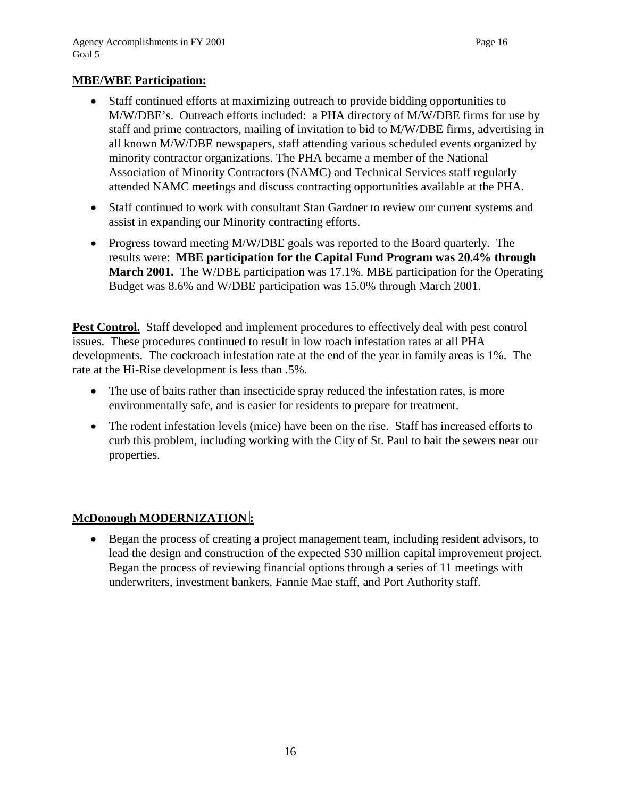#### **MBE/WBE Participation:**

- Staff continued efforts at maximizing outreach to provide bidding opportunities to M/W/DBE's. Outreach efforts included: a PHA directory of M/W/DBE firms for use by staff and prime contractors, mailing of invitation to bid to M/W/DBE firms, advertising in all known M/W/DBE newspapers, staff attending various scheduled events organized by minority contractor organizations. The PHA became a member of the National Association of Minority Contractors (NAMC) and Technical Services staff regularly attended NAMC meetings and discuss contracting opportunities available at the PHA.
- Staff continued to work with consultant Stan Gardner to review our current systems and assist in expanding our Minority contracting efforts.
- Progress toward meeting M/W/DBE goals was reported to the Board quarterly. The results were: **MBE participation for the Capital Fund Program was 20.4% through March 2001.** The W/DBE participation was 17.1%. MBE participation for the Operating Budget was 8.6% and W/DBE participation was 15.0% through March 2001.

**Pest Control.** Staff developed and implement procedures to effectively deal with pest control issues. These procedures continued to result in low roach infestation rates at all PHA developments. The cockroach infestation rate at the end of the year in family areas is 1%. The rate at the Hi-Rise development is less than .5%.

- The use of baits rather than insecticide spray reduced the infestation rates, is more environmentally safe, and is easier for residents to prepare for treatment.
- The rodent infestation levels (mice) have been on the rise. Staff has increased efforts to curb this problem, including working with the City of St. Paul to bait the sewers near our properties.

### **McDonough MODERNIZATION :**

• Began the process of creating a project management team, including resident advisors, to lead the design and construction of the expected \$30 million capital improvement project. Began the process of reviewing financial options through a series of 11 meetings with underwriters, investment bankers, Fannie Mae staff, and Port Authority staff.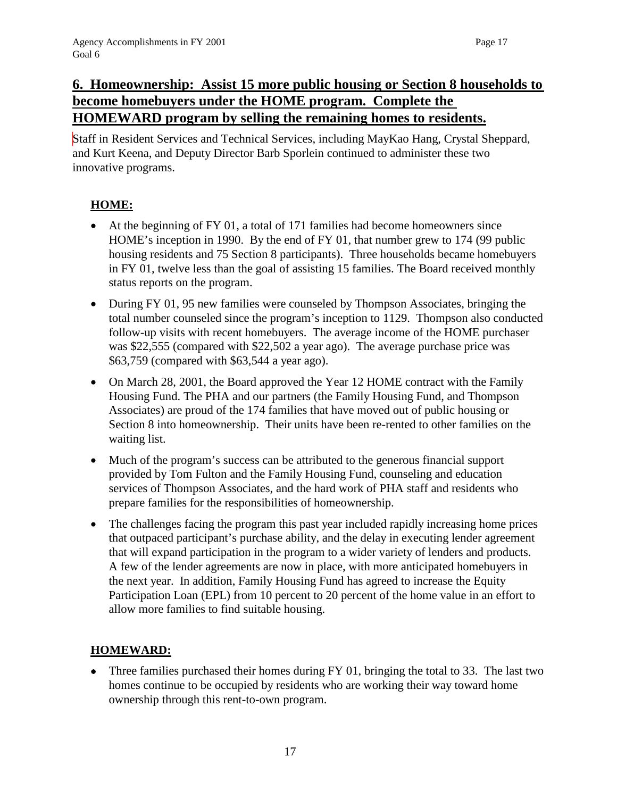## **6. Homeownership: Assist 15 more public housing or Section 8 households to become homebuyers under the HOME program. Complete the HOMEWARD program by selling the remaining homes to residents.**

Staff in Resident Services and Technical Services, including MayKao Hang, Crystal Sheppard, and Kurt Keena, and Deputy Director Barb Sporlein continued to administer these two innovative programs.

### **HOME:**

- At the beginning of FY 01, a total of 171 families had become homeowners since HOME's inception in 1990. By the end of FY 01, that number grew to 174 (99 public housing residents and 75 Section 8 participants). Three households became homebuyers in FY 01, twelve less than the goal of assisting 15 families. The Board received monthly status reports on the program.
- During FY 01, 95 new families were counseled by Thompson Associates, bringing the total number counseled since the program's inception to 1129. Thompson also conducted follow-up visits with recent homebuyers. The average income of the HOME purchaser was \$22,555 (compared with \$22,502 a year ago). The average purchase price was \$63,759 (compared with \$63,544 a year ago).
- On March 28, 2001, the Board approved the Year 12 HOME contract with the Family Housing Fund. The PHA and our partners (the Family Housing Fund, and Thompson Associates) are proud of the 174 families that have moved out of public housing or Section 8 into homeownership. Their units have been re-rented to other families on the waiting list.
- Much of the program's success can be attributed to the generous financial support provided by Tom Fulton and the Family Housing Fund, counseling and education services of Thompson Associates, and the hard work of PHA staff and residents who prepare families for the responsibilities of homeownership.
- The challenges facing the program this past year included rapidly increasing home prices that outpaced participant's purchase ability, and the delay in executing lender agreement that will expand participation in the program to a wider variety of lenders and products. A few of the lender agreements are now in place, with more anticipated homebuyers in the next year. In addition, Family Housing Fund has agreed to increase the Equity Participation Loan (EPL) from 10 percent to 20 percent of the home value in an effort to allow more families to find suitable housing.

### **HOMEWARD:**

• Three families purchased their homes during FY 01, bringing the total to 33. The last two homes continue to be occupied by residents who are working their way toward home ownership through this rent-to-own program.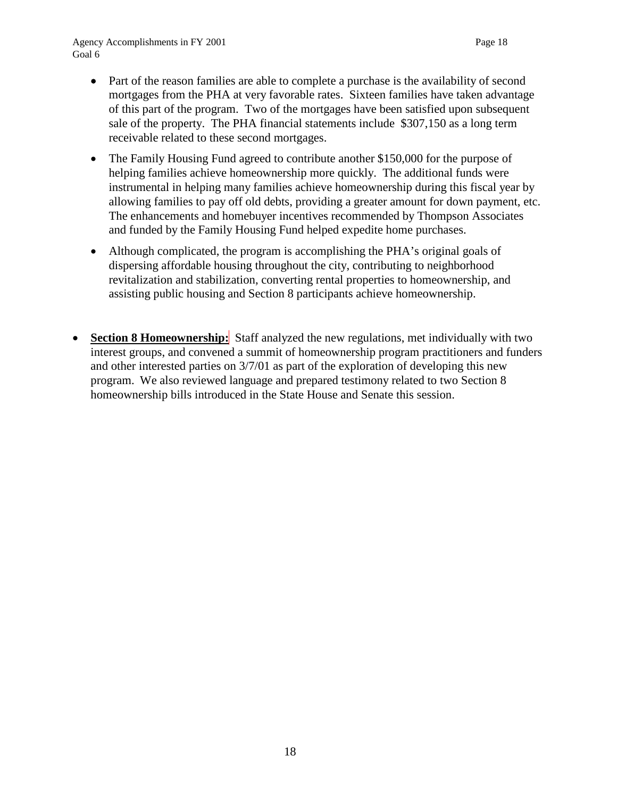- Part of the reason families are able to complete a purchase is the availability of second mortgages from the PHA at very favorable rates. Sixteen families have taken advantage of this part of the program. Two of the mortgages have been satisfied upon subsequent sale of the property. The PHA financial statements include \$307,150 as a long term receivable related to these second mortgages.
- The Family Housing Fund agreed to contribute another \$150,000 for the purpose of helping families achieve homeownership more quickly. The additional funds were instrumental in helping many families achieve homeownership during this fiscal year by allowing families to pay off old debts, providing a greater amount for down payment, etc. The enhancements and homebuyer incentives recommended by Thompson Associates and funded by the Family Housing Fund helped expedite home purchases.
- Although complicated, the program is accomplishing the PHA's original goals of dispersing affordable housing throughout the city, contributing to neighborhood revitalization and stabilization, converting rental properties to homeownership, and assisting public housing and Section 8 participants achieve homeownership.
- **Section 8 Homeownership:** Staff analyzed the new regulations, met individually with two interest groups, and convened a summit of homeownership program practitioners and funders and other interested parties on 3/7/01 as part of the exploration of developing this new program. We also reviewed language and prepared testimony related to two Section 8 homeownership bills introduced in the State House and Senate this session.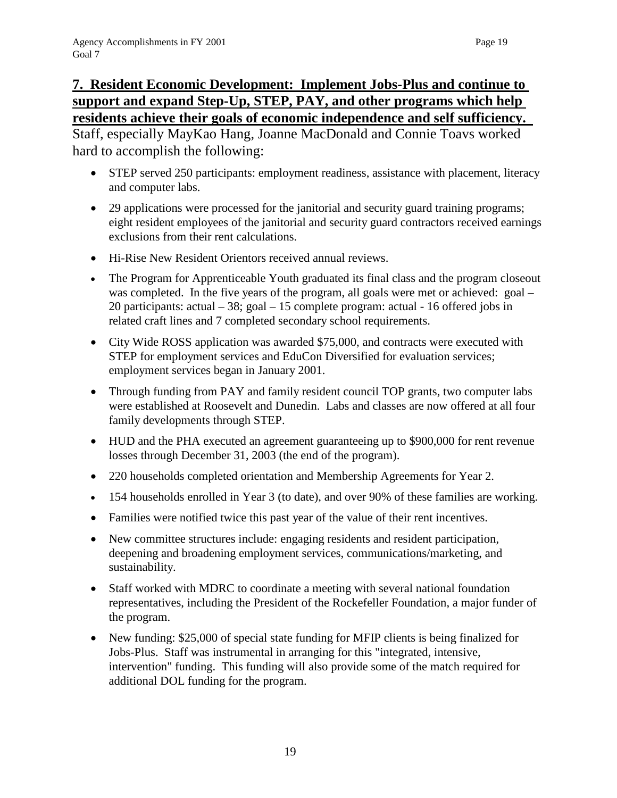# **7. Resident Economic Development: Implement Jobs-Plus and continue to support and expand Step-Up, STEP, PAY, and other programs which help residents achieve their goals of economic independence and self sufficiency.**

Staff, especially MayKao Hang, Joanne MacDonald and Connie Toavs worked hard to accomplish the following:

- STEP served 250 participants: employment readiness, assistance with placement, literacy and computer labs.
- 29 applications were processed for the janitorial and security guard training programs; eight resident employees of the janitorial and security guard contractors received earnings exclusions from their rent calculations.
- Hi-Rise New Resident Orientors received annual reviews.
- The Program for Apprenticeable Youth graduated its final class and the program closeout was completed. In the five years of the program, all goals were met or achieved: goal – 20 participants: actual – 38; goal – 15 complete program: actual - 16 offered jobs in related craft lines and 7 completed secondary school requirements.
- City Wide ROSS application was awarded \$75,000, and contracts were executed with STEP for employment services and EduCon Diversified for evaluation services; employment services began in January 2001.
- Through funding from PAY and family resident council TOP grants, two computer labs were established at Roosevelt and Dunedin. Labs and classes are now offered at all four family developments through STEP.
- HUD and the PHA executed an agreement guaranteeing up to \$900,000 for rent revenue losses through December 31, 2003 (the end of the program).
- 220 households completed orientation and Membership Agreements for Year 2.
- 154 households enrolled in Year 3 (to date), and over 90% of these families are working.
- Families were notified twice this past year of the value of their rent incentives.
- New committee structures include: engaging residents and resident participation, deepening and broadening employment services, communications/marketing, and sustainability.
- Staff worked with MDRC to coordinate a meeting with several national foundation representatives, including the President of the Rockefeller Foundation, a major funder of the program.
- New funding: \$25,000 of special state funding for MFIP clients is being finalized for Jobs-Plus. Staff was instrumental in arranging for this "integrated, intensive, intervention" funding. This funding will also provide some of the match required for additional DOL funding for the program.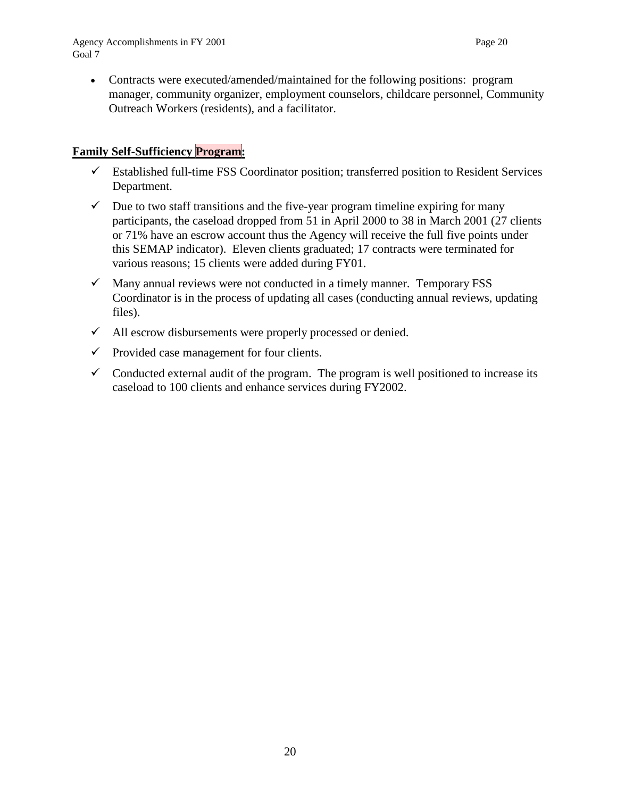• Contracts were executed/amended/maintained for the following positions: program manager, community organizer, employment counselors, childcare personnel, Community Outreach Workers (residents), and a facilitator.

### **Family Self-Sufficiency Program:**

- $\checkmark$  Established full-time FSS Coordinator position; transferred position to Resident Services Department.
- $\checkmark$  Due to two staff transitions and the five-year program timeline expiring for many participants, the caseload dropped from 51 in April 2000 to 38 in March 2001 (27 clients or 71% have an escrow account thus the Agency will receive the full five points under this SEMAP indicator). Eleven clients graduated; 17 contracts were terminated for various reasons; 15 clients were added during FY01.
- $\checkmark$  Many annual reviews were not conducted in a timely manner. Temporary FSS Coordinator is in the process of updating all cases (conducting annual reviews, updating files).
- $\checkmark$  All escrow disbursements were properly processed or denied.
- $\checkmark$  Provided case management for four clients.
- $\checkmark$  Conducted external audit of the program. The program is well positioned to increase its caseload to 100 clients and enhance services during FY2002.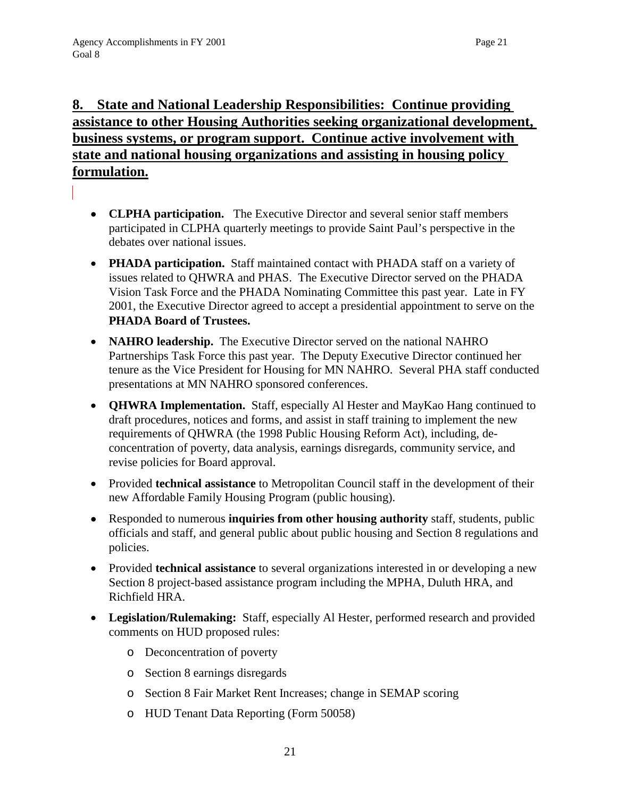# **8. State and National Leadership Responsibilities: Continue providing assistance to other Housing Authorities seeking organizational development, business systems, or program support. Continue active involvement with state and national housing organizations and assisting in housing policy formulation.**

- **CLPHA participation.** The Executive Director and several senior staff members participated in CLPHA quarterly meetings to provide Saint Paul's perspective in the debates over national issues.
- **PHADA participation.** Staff maintained contact with PHADA staff on a variety of issues related to QHWRA and PHAS. The Executive Director served on the PHADA Vision Task Force and the PHADA Nominating Committee this past year. Late in FY 2001, the Executive Director agreed to accept a presidential appointment to serve on the **PHADA Board of Trustees.**
- **NAHRO leadership.** The Executive Director served on the national NAHRO Partnerships Task Force this past year. The Deputy Executive Director continued her tenure as the Vice President for Housing for MN NAHRO.Several PHA staff conducted presentations at MN NAHRO sponsored conferences.
- **QHWRA Implementation.** Staff, especially Al Hester and MayKao Hang continued to draft procedures, notices and forms, and assist in staff training to implement the new requirements of QHWRA (the 1998 Public Housing Reform Act), including, deconcentration of poverty, data analysis, earnings disregards, community service, and revise policies for Board approval.
- Provided **technical assistance** to Metropolitan Council staff in the development of their new Affordable Family Housing Program (public housing).
- Responded to numerous **inquiries from other housing authority** staff, students, public officials and staff, and general public about public housing and Section 8 regulations and policies.
- Provided **technical assistance** to several organizations interested in or developing a new Section 8 project-based assistance program including the MPHA, Duluth HRA, and Richfield HRA.
- **Legislation/Rulemaking:** Staff, especially Al Hester, performed research and provided comments on HUD proposed rules:
	- o Deconcentration of poverty
	- o Section 8 earnings disregards
	- o Section 8 Fair Market Rent Increases; change in SEMAP scoring
	- o HUD Tenant Data Reporting (Form 50058)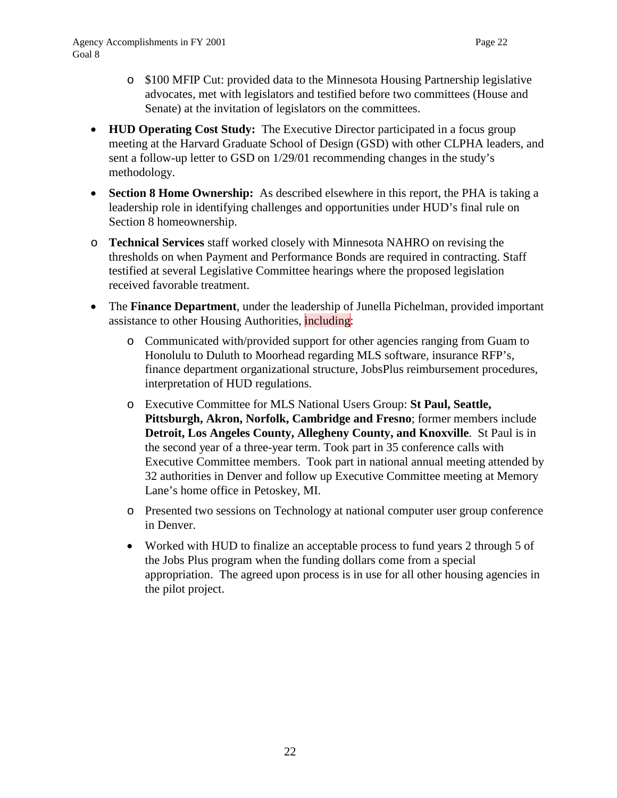- o \$100 MFIP Cut: provided data to the Minnesota Housing Partnership legislative advocates, met with legislators and testified before two committees (House and Senate) at the invitation of legislators on the committees.
- **HUD Operating Cost Study:** The Executive Director participated in a focus group meeting at the Harvard Graduate School of Design (GSD) with other CLPHA leaders, and sent a follow-up letter to GSD on 1/29/01 recommending changes in the study's methodology.
- **Section 8 Home Ownership:** As described elsewhere in this report, the PHA is taking a leadership role in identifying challenges and opportunities under HUD's final rule on Section 8 homeownership.
- o **Technical Services** staff worked closely with Minnesota NAHRO on revising the thresholds on when Payment and Performance Bonds are required in contracting. Staff testified at several Legislative Committee hearings where the proposed legislation received favorable treatment.
- The **Finance Department**, under the leadership of Junella Pichelman, provided important assistance to other Housing Authorities, including:
	- o Communicated with/provided support for other agencies ranging from Guam to Honolulu to Duluth to Moorhead regarding MLS software, insurance RFP's, finance department organizational structure, JobsPlus reimbursement procedures, interpretation of HUD regulations.
	- o Executive Committee for MLS National Users Group: **St Paul, Seattle, Pittsburgh, Akron, Norfolk, Cambridge and Fresno**; former members include **Detroit, Los Angeles County, Allegheny County, and Knoxville**. St Paul is in the second year of a three-year term. Took part in 35 conference calls with Executive Committee members. Took part in national annual meeting attended by 32 authorities in Denver and follow up Executive Committee meeting at Memory Lane's home office in Petoskey, MI.
	- o Presented two sessions on Technology at national computer user group conference in Denver.
	- Worked with HUD to finalize an acceptable process to fund years 2 through 5 of the Jobs Plus program when the funding dollars come from a special appropriation. The agreed upon process is in use for all other housing agencies in the pilot project.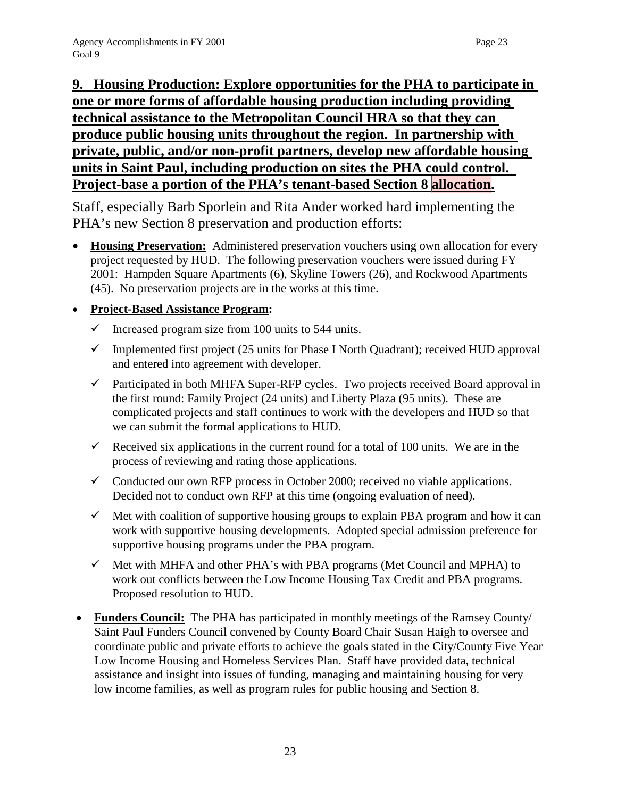# **9. Housing Production: Explore opportunities for the PHA to participate in one or more forms of affordable housing production including providing technical assistance to the Metropolitan Council HRA so that they can produce public housing units throughout the region. In partnership with private, public, and/or non-profit partners, develop new affordable housing units in Saint Paul, including production on sites the PHA could control. Project-base a portion of the PHA's tenant-based Section 8 allocation.**

Staff, especially Barb Sporlein and Rita Ander worked hard implementing the PHA's new Section 8 preservation and production efforts:

• **Housing Preservation:** Administered preservation vouchers using own allocation for every project requested by HUD. The following preservation vouchers were issued during FY 2001: Hampden Square Apartments (6), Skyline Towers (26), and Rockwood Apartments (45). No preservation projects are in the works at this time.

### • **Project-Based Assistance Program:**

- $\checkmark$  Increased program size from 100 units to 544 units.
- $\checkmark$  Implemented first project (25 units for Phase I North Quadrant); received HUD approval and entered into agreement with developer.
- $\checkmark$  Participated in both MHFA Super-RFP cycles. Two projects received Board approval in the first round: Family Project (24 units) and Liberty Plaza (95 units). These are complicated projects and staff continues to work with the developers and HUD so that we can submit the formal applications to HUD.
- Received six applications in the current round for a total of 100 units. We are in the process of reviewing and rating those applications.
- $\checkmark$  Conducted our own RFP process in October 2000; received no viable applications. Decided not to conduct own RFP at this time (ongoing evaluation of need).
- $\checkmark$  Met with coalition of supportive housing groups to explain PBA program and how it can work with supportive housing developments. Adopted special admission preference for supportive housing programs under the PBA program.
- $\checkmark$  Met with MHFA and other PHA's with PBA programs (Met Council and MPHA) to work out conflicts between the Low Income Housing Tax Credit and PBA programs. Proposed resolution to HUD.
- **Funders Council:** The PHA has participated in monthly meetings of the Ramsey County/ Saint Paul Funders Council convened by County Board Chair Susan Haigh to oversee and coordinate public and private efforts to achieve the goals stated in the City/County Five Year Low Income Housing and Homeless Services Plan. Staff have provided data, technical assistance and insight into issues of funding, managing and maintaining housing for very low income families, as well as program rules for public housing and Section 8.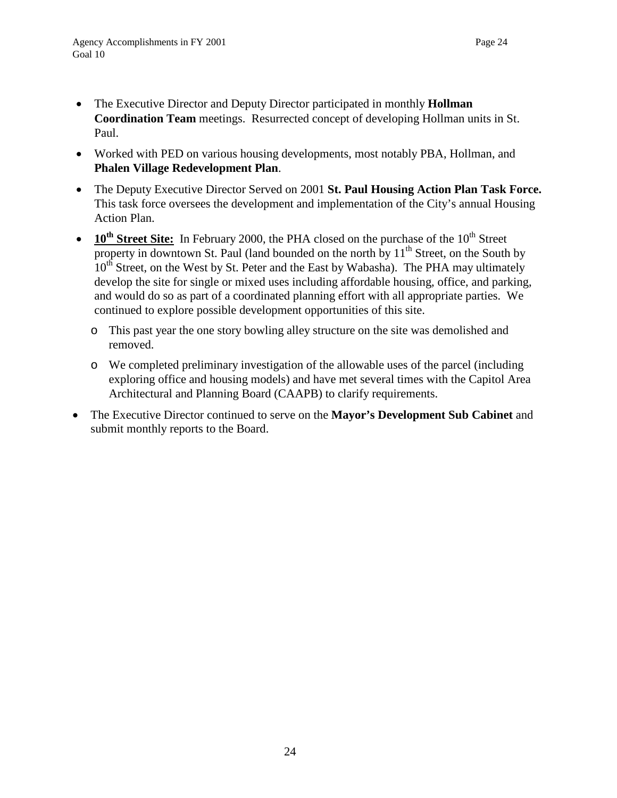- The Executive Director and Deputy Director participated in monthly **Hollman Coordination Team** meetings. Resurrected concept of developing Hollman units in St. Paul.
- Worked with PED on various housing developments, most notably PBA, Hollman, and **Phalen Village Redevelopment Plan**.
- The Deputy Executive Director Served on 2001 **St. Paul Housing Action Plan Task Force.** This task force oversees the development and implementation of the City's annual Housing Action Plan.
- $10^{th}$  **Street Site:** In February 2000, the PHA closed on the purchase of the  $10^{th}$  Street property in downtown St. Paul (land bounded on the north by  $11<sup>th</sup>$  Street, on the South by 10<sup>th</sup> Street, on the West by St. Peter and the East by Wabasha). The PHA may ultimately develop the site for single or mixed uses including affordable housing, office, and parking, and would do so as part of a coordinated planning effort with all appropriate parties. We continued to explore possible development opportunities of this site.
	- o This past year the one story bowling alley structure on the site was demolished and removed.
	- o We completed preliminary investigation of the allowable uses of the parcel (including exploring office and housing models) and have met several times with the Capitol Area Architectural and Planning Board (CAAPB) to clarify requirements.
- The Executive Director continued to serve on the **Mayor's Development Sub Cabinet** and submit monthly reports to the Board.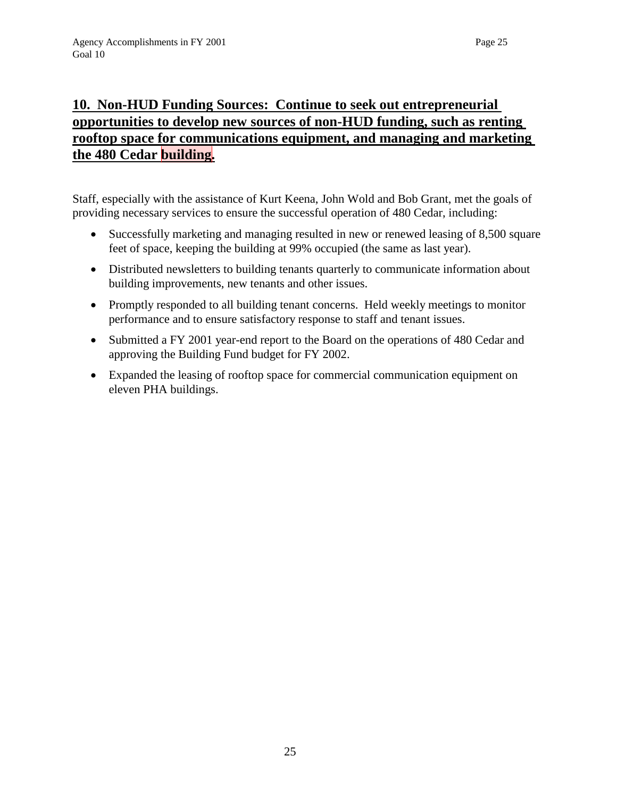# **the 480 Cedar building.**

Staff, especially with the assistance of Kurt Keena, John Wold and Bob Grant, met the goals of providing necessary services to ensure the successful operation of 480 Cedar, including:

- Successfully marketing and managing resulted in new or renewed leasing of 8,500 square feet of space, keeping the building at 99% occupied (the same as last year).
- Distributed newsletters to building tenants quarterly to communicate information about building improvements, new tenants and other issues.
- Promptly responded to all building tenant concerns. Held weekly meetings to monitor performance and to ensure satisfactory response to staff and tenant issues.
- Submitted a FY 2001 year-end report to the Board on the operations of 480 Cedar and approving the Building Fund budget for FY 2002.
- Expanded the leasing of rooftop space for commercial communication equipment on eleven PHA buildings.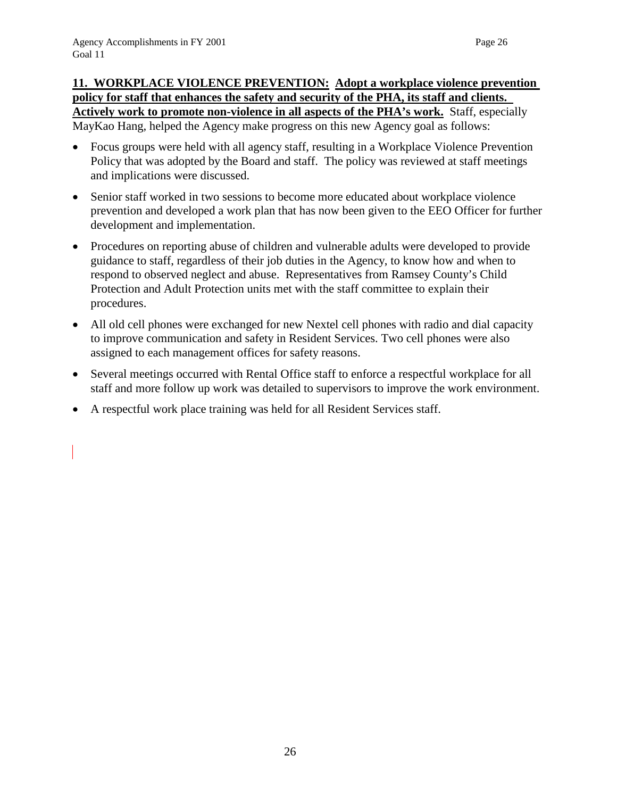### **11. WORKPLACE VIOLENCE PREVENTION: Adopt a workplace violence prevention policy for staff that enhances the safety and security of the PHA, its staff and clients. Actively work to promote non-violence in all aspects of the PHA's work.** Staff, especially MayKao Hang, helped the Agency make progress on this new Agency goal as follows:

• Focus groups were held with all agency staff, resulting in a Workplace Violence Prevention Policy that was adopted by the Board and staff. The policy was reviewed at staff meetings and implications were discussed.

- Senior staff worked in two sessions to become more educated about workplace violence prevention and developed a work plan that has now been given to the EEO Officer for further development and implementation.
- Procedures on reporting abuse of children and vulnerable adults were developed to provide guidance to staff, regardless of their job duties in the Agency, to know how and when to respond to observed neglect and abuse. Representatives from Ramsey County's Child Protection and Adult Protection units met with the staff committee to explain their procedures.
- All old cell phones were exchanged for new Nextel cell phones with radio and dial capacity to improve communication and safety in Resident Services. Two cell phones were also assigned to each management offices for safety reasons.
- Several meetings occurred with Rental Office staff to enforce a respectful workplace for all staff and more follow up work was detailed to supervisors to improve the work environment.
- A respectful work place training was held for all Resident Services staff.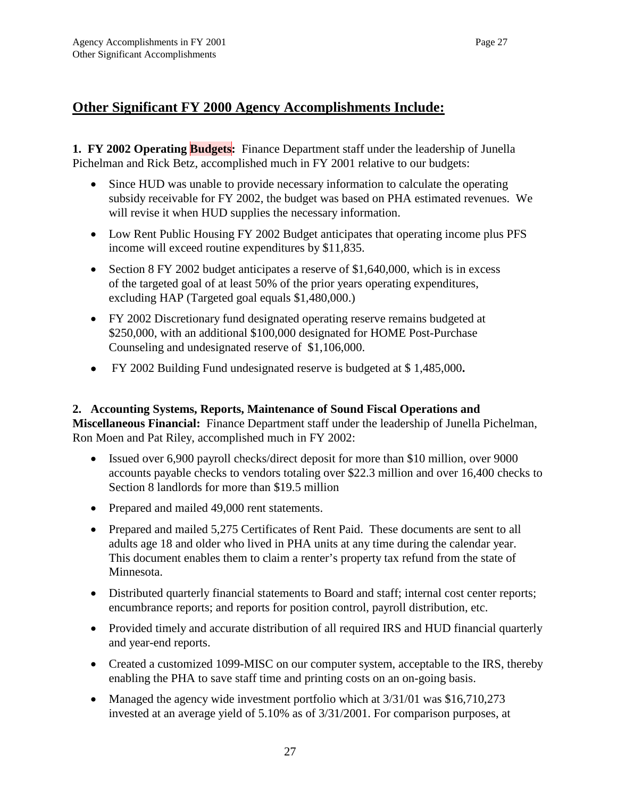## **Other Significant FY 2000 Agency Accomplishments Include:**

**1. FY 2002 Operating Budgets:** Finance Department staff under the leadership of Junella Pichelman and Rick Betz, accomplished much in FY 2001 relative to our budgets:

- Since HUD was unable to provide necessary information to calculate the operating subsidy receivable for FY 2002, the budget was based on PHA estimated revenues. We will revise it when HUD supplies the necessary information.
- Low Rent Public Housing FY 2002 Budget anticipates that operating income plus PFS income will exceed routine expenditures by \$11,835.
- Section 8 FY 2002 budget anticipates a reserve of \$1,640,000, which is in excess of the targeted goal of at least 50% of the prior years operating expenditures, excluding HAP (Targeted goal equals \$1,480,000.)
- FY 2002 Discretionary fund designated operating reserve remains budgeted at \$250,000, with an additional \$100,000 designated for HOME Post-Purchase Counseling and undesignated reserve of \$1,106,000.
- FY 2002 Building Fund undesignated reserve is budgeted at \$ 1,485,000**.**

#### **2. Accounting Systems, Reports, Maintenance of Sound Fiscal Operations and Miscellaneous Financial:** Finance Department staff under the leadership of Junella Pichelman, Ron Moen and Pat Riley, accomplished much in FY 2002:

- Issued over 6,900 payroll checks/direct deposit for more than \$10 million, over 9000 accounts payable checks to vendors totaling over \$22.3 million and over 16,400 checks to Section 8 landlords for more than \$19.5 million
- Prepared and mailed 49,000 rent statements.
- Prepared and mailed 5,275 Certificates of Rent Paid. These documents are sent to all adults age 18 and older who lived in PHA units at any time during the calendar year. This document enables them to claim a renter's property tax refund from the state of Minnesota.
- Distributed quarterly financial statements to Board and staff; internal cost center reports; encumbrance reports; and reports for position control, payroll distribution, etc.
- Provided timely and accurate distribution of all required IRS and HUD financial quarterly and year-end reports.
- Created a customized 1099-MISC on our computer system, acceptable to the IRS, thereby enabling the PHA to save staff time and printing costs on an on-going basis.
- Managed the agency wide investment portfolio which at  $3/31/01$  was \$16,710,273 invested at an average yield of 5.10% as of 3/31/2001. For comparison purposes, at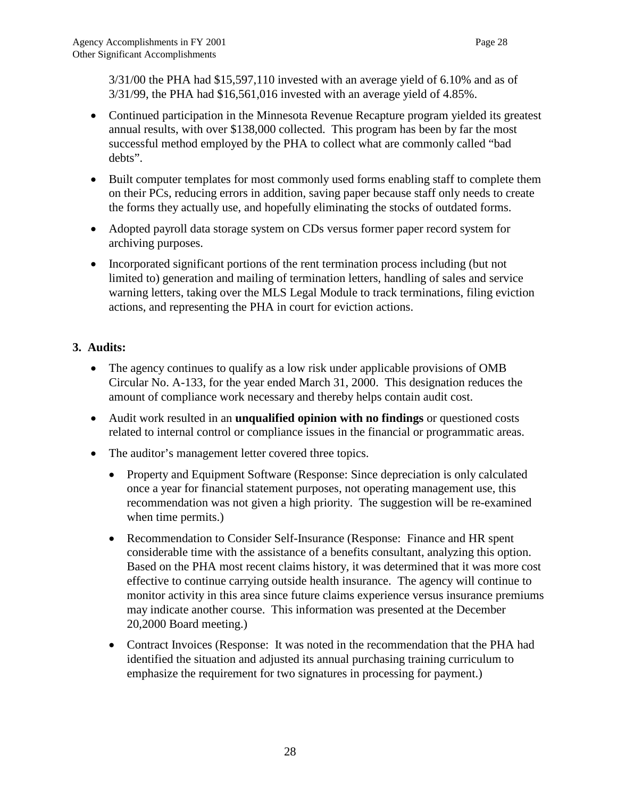3/31/00 the PHA had \$15,597,110 invested with an average yield of 6.10% and as of 3/31/99, the PHA had \$16,561,016 invested with an average yield of 4.85%.

- Continued participation in the Minnesota Revenue Recapture program yielded its greatest annual results, with over \$138,000 collected. This program has been by far the most successful method employed by the PHA to collect what are commonly called "bad debts".
- Built computer templates for most commonly used forms enabling staff to complete them on their PCs, reducing errors in addition, saving paper because staff only needs to create the forms they actually use, and hopefully eliminating the stocks of outdated forms.
- Adopted payroll data storage system on CDs versus former paper record system for archiving purposes.
- Incorporated significant portions of the rent termination process including (but not limited to) generation and mailing of termination letters, handling of sales and service warning letters, taking over the MLS Legal Module to track terminations, filing eviction actions, and representing the PHA in court for eviction actions.

### **3. Audits:**

- The agency continues to qualify as a low risk under applicable provisions of OMB Circular No. A-133, for the year ended March 31, 2000. This designation reduces the amount of compliance work necessary and thereby helps contain audit cost.
- Audit work resulted in an **unqualified opinion with no findings** or questioned costs related to internal control or compliance issues in the financial or programmatic areas.
- The auditor's management letter covered three topics.
	- Property and Equipment Software (Response: Since depreciation is only calculated once a year for financial statement purposes, not operating management use, this recommendation was not given a high priority. The suggestion will be re-examined when time permits.)
	- Recommendation to Consider Self-Insurance (Response: Finance and HR spent considerable time with the assistance of a benefits consultant, analyzing this option. Based on the PHA most recent claims history, it was determined that it was more cost effective to continue carrying outside health insurance. The agency will continue to monitor activity in this area since future claims experience versus insurance premiums may indicate another course. This information was presented at the December 20,2000 Board meeting.)
	- Contract Invoices (Response: It was noted in the recommendation that the PHA had identified the situation and adjusted its annual purchasing training curriculum to emphasize the requirement for two signatures in processing for payment.)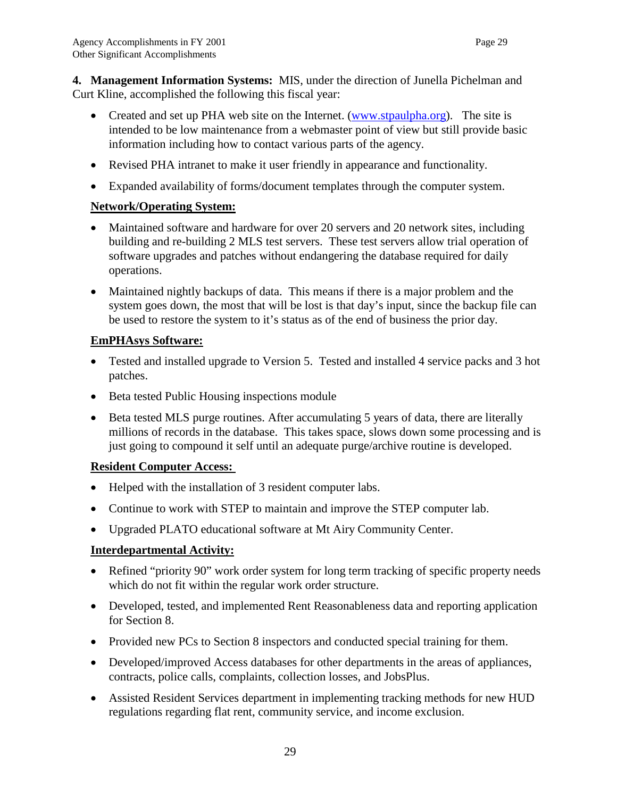**4. Management Information Systems:** MIS, under the direction of Junella Pichelman and Curt Kline, accomplished the following this fiscal year:

- Created and set up PHA web site on the Internet. (www.stpaulpha.org). The site is intended to be low maintenance from a webmaster point of view but still provide basic information including how to contact various parts of the agency.
- Revised PHA intranet to make it user friendly in appearance and functionality.
- Expanded availability of forms/document templates through the computer system.

### **Network/Operating System:**

- Maintained software and hardware for over 20 servers and 20 network sites, including building and re-building 2 MLS test servers. These test servers allow trial operation of software upgrades and patches without endangering the database required for daily operations.
- Maintained nightly backups of data. This means if there is a major problem and the system goes down, the most that will be lost is that day's input, since the backup file can be used to restore the system to it's status as of the end of business the prior day.

### **EmPHAsys Software:**

- Tested and installed upgrade to Version 5. Tested and installed 4 service packs and 3 hot patches.
- Beta tested Public Housing inspections module
- Beta tested MLS purge routines. After accumulating 5 years of data, there are literally millions of records in the database. This takes space, slows down some processing and is just going to compound it self until an adequate purge/archive routine is developed.

### **Resident Computer Access:**

- Helped with the installation of 3 resident computer labs.
- Continue to work with STEP to maintain and improve the STEP computer lab.
- Upgraded PLATO educational software at Mt Airy Community Center.

### **Interdepartmental Activity:**

- Refined "priority 90" work order system for long term tracking of specific property needs which do not fit within the regular work order structure.
- Developed, tested, and implemented Rent Reasonableness data and reporting application for Section 8.
- Provided new PCs to Section 8 inspectors and conducted special training for them.
- Developed/improved Access databases for other departments in the areas of appliances, contracts, police calls, complaints, collection losses, and JobsPlus.
- Assisted Resident Services department in implementing tracking methods for new HUD regulations regarding flat rent, community service, and income exclusion.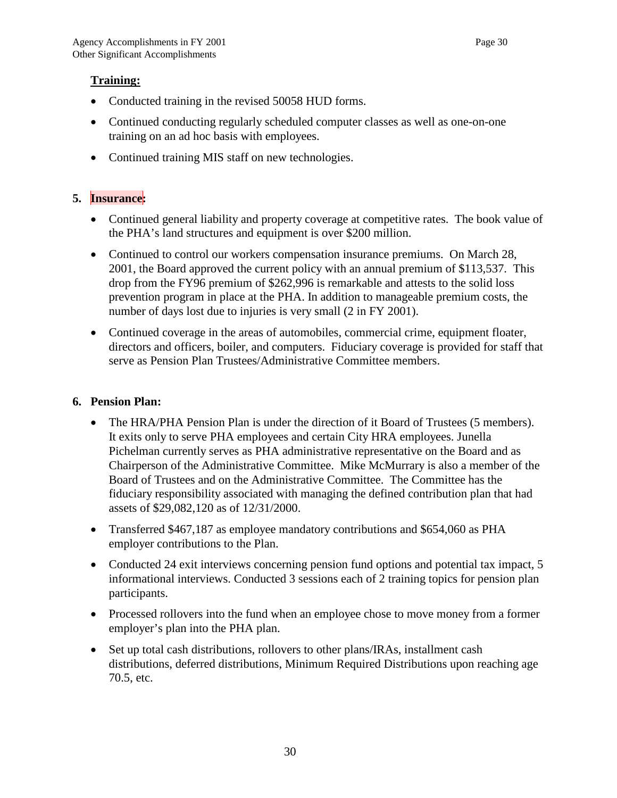### **Training:**

- Conducted training in the revised 50058 HUD forms.
- Continued conducting regularly scheduled computer classes as well as one-on-one training on an ad hoc basis with employees.
- Continued training MIS staff on new technologies.

### **5. Insurance:**

- Continued general liability and property coverage at competitive rates. The book value of the PHA's land structures and equipment is over \$200 million.
- Continued to control our workers compensation insurance premiums. On March 28, 2001, the Board approved the current policy with an annual premium of \$113,537. This drop from the FY96 premium of \$262,996 is remarkable and attests to the solid loss prevention program in place at the PHA. In addition to manageable premium costs, the number of days lost due to injuries is very small (2 in FY 2001).
- Continued coverage in the areas of automobiles, commercial crime, equipment floater, directors and officers, boiler, and computers. Fiduciary coverage is provided for staff that serve as Pension Plan Trustees/Administrative Committee members.

### **6. Pension Plan:**

- The HRA/PHA Pension Plan is under the direction of it Board of Trustees (5 members). It exits only to serve PHA employees and certain City HRA employees. Junella Pichelman currently serves as PHA administrative representative on the Board and as Chairperson of the Administrative Committee. Mike McMurrary is also a member of the Board of Trustees and on the Administrative Committee. The Committee has the fiduciary responsibility associated with managing the defined contribution plan that had assets of \$29,082,120 as of 12/31/2000.
- Transferred \$467,187 as employee mandatory contributions and \$654,060 as PHA employer contributions to the Plan.
- Conducted 24 exit interviews concerning pension fund options and potential tax impact, 5 informational interviews. Conducted 3 sessions each of 2 training topics for pension plan participants.
- Processed rollovers into the fund when an employee chose to move money from a former employer's plan into the PHA plan.
- Set up total cash distributions, rollovers to other plans/IRAs, installment cash distributions, deferred distributions, Minimum Required Distributions upon reaching age 70.5, etc.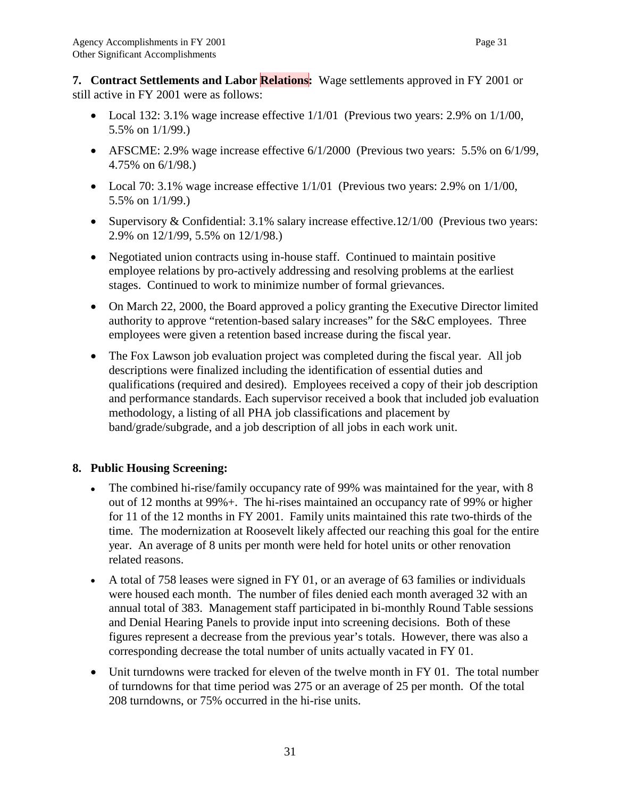**7. Contract Settlements and Labor Relations:** Wage settlements approved in FY 2001 or still active in FY 2001 were as follows:

- Local 132: 3.1% wage increase effective  $1/1/01$  (Previous two years: 2.9% on  $1/1/00$ , 5.5% on 1/1/99.)
- AFSCME: 2.9% wage increase effective 6/1/2000 (Previous two years: 5.5% on 6/1/99, 4.75% on 6/1/98.)
- Local 70: 3.1% wage increase effective  $1/1/01$  (Previous two years: 2.9% on  $1/1/00$ , 5.5% on 1/1/99.)
- Supervisory & Confidential: 3.1% salary increase effective.12/1/00 (Previous two years: 2.9% on 12/1/99, 5.5% on 12/1/98.)
- Negotiated union contracts using in-house staff. Continued to maintain positive employee relations by pro-actively addressing and resolving problems at the earliest stages. Continued to work to minimize number of formal grievances.
- On March 22, 2000, the Board approved a policy granting the Executive Director limited authority to approve "retention-based salary increases" for the S&C employees. Three employees were given a retention based increase during the fiscal year.
- The Fox Lawson job evaluation project was completed during the fiscal year. All job descriptions were finalized including the identification of essential duties and qualifications (required and desired). Employees received a copy of their job description and performance standards. Each supervisor received a book that included job evaluation methodology, a listing of all PHA job classifications and placement by band/grade/subgrade, and a job description of all jobs in each work unit.

### **8. Public Housing Screening:**

- The combined hi-rise/family occupancy rate of 99% was maintained for the year, with 8 out of 12 months at 99%+. The hi-rises maintained an occupancy rate of 99% or higher for 11 of the 12 months in FY 2001. Family units maintained this rate two-thirds of the time. The modernization at Roosevelt likely affected our reaching this goal for the entire year. An average of 8 units per month were held for hotel units or other renovation related reasons.
- A total of 758 leases were signed in FY 01, or an average of 63 families or individuals were housed each month. The number of files denied each month averaged 32 with an annual total of 383. Management staff participated in bi-monthly Round Table sessions and Denial Hearing Panels to provide input into screening decisions. Both of these figures represent a decrease from the previous year's totals. However, there was also a corresponding decrease the total number of units actually vacated in FY 01.
- Unit turndowns were tracked for eleven of the twelve month in FY 01. The total number of turndowns for that time period was 275 or an average of 25 per month. Of the total 208 turndowns, or 75% occurred in the hi-rise units.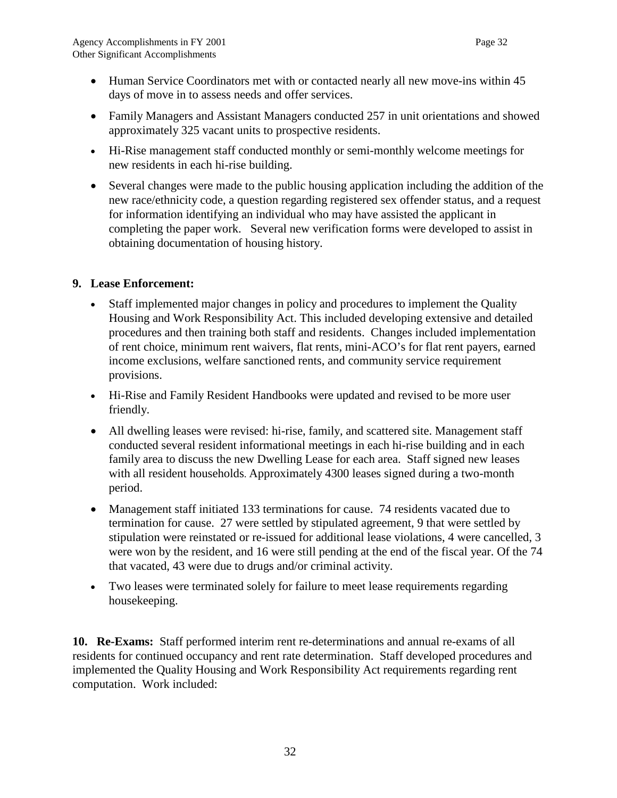- Human Service Coordinators met with or contacted nearly all new move-ins within 45 days of move in to assess needs and offer services.
- Family Managers and Assistant Managers conducted 257 in unit orientations and showed approximately 325 vacant units to prospective residents.
- Hi-Rise management staff conducted monthly or semi-monthly welcome meetings for new residents in each hi-rise building.
- Several changes were made to the public housing application including the addition of the new race/ethnicity code, a question regarding registered sex offender status, and a request for information identifying an individual who may have assisted the applicant in completing the paper work. Several new verification forms were developed to assist in obtaining documentation of housing history.

### **9. Lease Enforcement:**

- Staff implemented major changes in policy and procedures to implement the Quality Housing and Work Responsibility Act. This included developing extensive and detailed procedures and then training both staff and residents. Changes included implementation of rent choice, minimum rent waivers, flat rents, mini-ACO's for flat rent payers, earned income exclusions, welfare sanctioned rents, and community service requirement provisions.
- Hi-Rise and Family Resident Handbooks were updated and revised to be more user friendly.
- All dwelling leases were revised: hi-rise, family, and scattered site. Management staff conducted several resident informational meetings in each hi-rise building and in each family area to discuss the new Dwelling Lease for each area. Staff signed new leases with all resident households. Approximately 4300 leases signed during a two-month period.
- Management staff initiated 133 terminations for cause. 74 residents vacated due to termination for cause. 27 were settled by stipulated agreement, 9 that were settled by stipulation were reinstated or re-issued for additional lease violations, 4 were cancelled, 3 were won by the resident, and 16 were still pending at the end of the fiscal year. Of the 74 that vacated, 43 were due to drugs and/or criminal activity.
- Two leases were terminated solely for failure to meet lease requirements regarding housekeeping.

**10. Re-Exams:** Staff performed interim rent re-determinations and annual re-exams of all residents for continued occupancy and rent rate determination. Staff developed procedures and implemented the Quality Housing and Work Responsibility Act requirements regarding rent computation. Work included: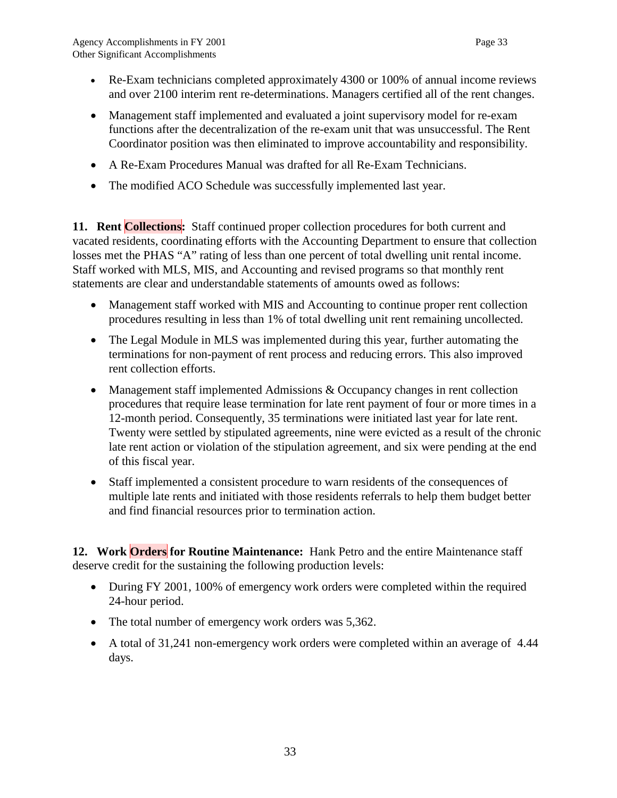- Re-Exam technicians completed approximately 4300 or 100% of annual income reviews and over 2100 interim rent re-determinations. Managers certified all of the rent changes.
- Management staff implemented and evaluated a joint supervisory model for re-exam functions after the decentralization of the re-exam unit that was unsuccessful. The Rent Coordinator position was then eliminated to improve accountability and responsibility.
- A Re-Exam Procedures Manual was drafted for all Re-Exam Technicians.
- The modified ACO Schedule was successfully implemented last year.

**11. Rent Collections:** Staff continued proper collection procedures for both current and vacated residents, coordinating efforts with the Accounting Department to ensure that collection losses met the PHAS "A" rating of less than one percent of total dwelling unit rental income. Staff worked with MLS, MIS, and Accounting and revised programs so that monthly rent statements are clear and understandable statements of amounts owed as follows:

- Management staff worked with MIS and Accounting to continue proper rent collection procedures resulting in less than 1% of total dwelling unit rent remaining uncollected.
- The Legal Module in MLS was implemented during this year, further automating the terminations for non-payment of rent process and reducing errors. This also improved rent collection efforts.
- Management staff implemented Admissions & Occupancy changes in rent collection procedures that require lease termination for late rent payment of four or more times in a 12-month period. Consequently, 35 terminations were initiated last year for late rent. Twenty were settled by stipulated agreements, nine were evicted as a result of the chronic late rent action or violation of the stipulation agreement, and six were pending at the end of this fiscal year.
- Staff implemented a consistent procedure to warn residents of the consequences of multiple late rents and initiated with those residents referrals to help them budget better and find financial resources prior to termination action.

**12. Work Orders for Routine Maintenance:** Hank Petro and the entire Maintenance staff deserve credit for the sustaining the following production levels:

- During FY 2001, 100% of emergency work orders were completed within the required 24-hour period.
- The total number of emergency work orders was 5,362.
- A total of 31,241 non-emergency work orders were completed within an average of 4.44 days.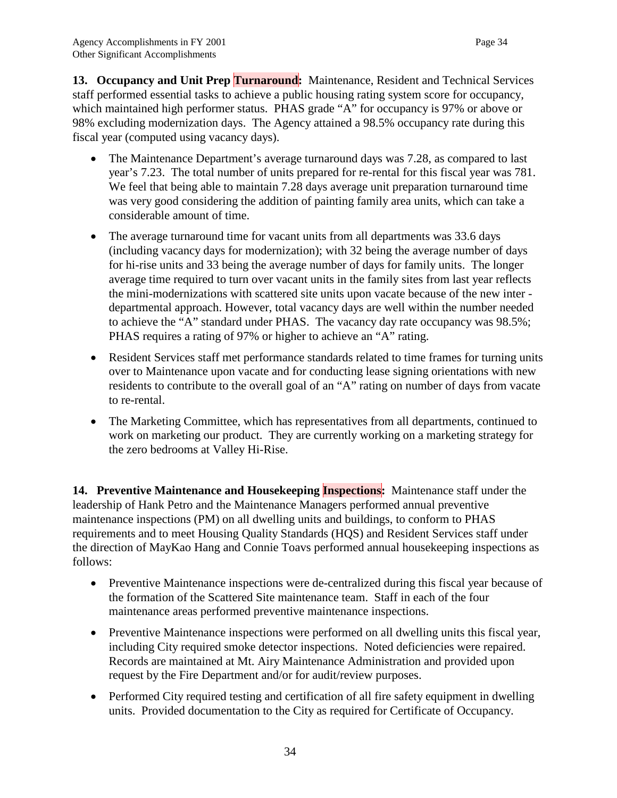**13. Occupancy and Unit Prep Turnaround:** Maintenance, Resident and Technical Services staff performed essential tasks to achieve a public housing rating system score for occupancy, which maintained high performer status. PHAS grade "A" for occupancy is 97% or above or 98% excluding modernization days. The Agency attained a 98.5% occupancy rate during this fiscal year (computed using vacancy days).

- The Maintenance Department's average turnaround days was 7.28, as compared to last year's 7.23. The total number of units prepared for re-rental for this fiscal year was 781. We feel that being able to maintain 7.28 days average unit preparation turnaround time was very good considering the addition of painting family area units, which can take a considerable amount of time.
- The average turnaround time for vacant units from all departments was 33.6 days (including vacancy days for modernization); with 32 being the average number of days for hi-rise units and 33 being the average number of days for family units. The longer average time required to turn over vacant units in the family sites from last year reflects the mini-modernizations with scattered site units upon vacate because of the new inter departmental approach. However, total vacancy days are well within the number needed to achieve the "A" standard under PHAS. The vacancy day rate occupancy was 98.5%; PHAS requires a rating of 97% or higher to achieve an "A" rating.
- Resident Services staff met performance standards related to time frames for turning units over to Maintenance upon vacate and for conducting lease signing orientations with new residents to contribute to the overall goal of an "A" rating on number of days from vacate to re-rental.
- The Marketing Committee, which has representatives from all departments, continued to work on marketing our product. They are currently working on a marketing strategy for the zero bedrooms at Valley Hi-Rise.

**14. Preventive Maintenance and Housekeeping Inspections:** Maintenance staff under the leadership of Hank Petro and the Maintenance Managers performed annual preventive maintenance inspections (PM) on all dwelling units and buildings, to conform to PHAS requirements and to meet Housing Quality Standards (HQS) and Resident Services staff under the direction of MayKao Hang and Connie Toavs performed annual housekeeping inspections as follows:

- Preventive Maintenance inspections were de-centralized during this fiscal year because of the formation of the Scattered Site maintenance team. Staff in each of the four maintenance areas performed preventive maintenance inspections.
- Preventive Maintenance inspections were performed on all dwelling units this fiscal year, including City required smoke detector inspections. Noted deficiencies were repaired. Records are maintained at Mt. Airy Maintenance Administration and provided upon request by the Fire Department and/or for audit/review purposes.
- Performed City required testing and certification of all fire safety equipment in dwelling units. Provided documentation to the City as required for Certificate of Occupancy.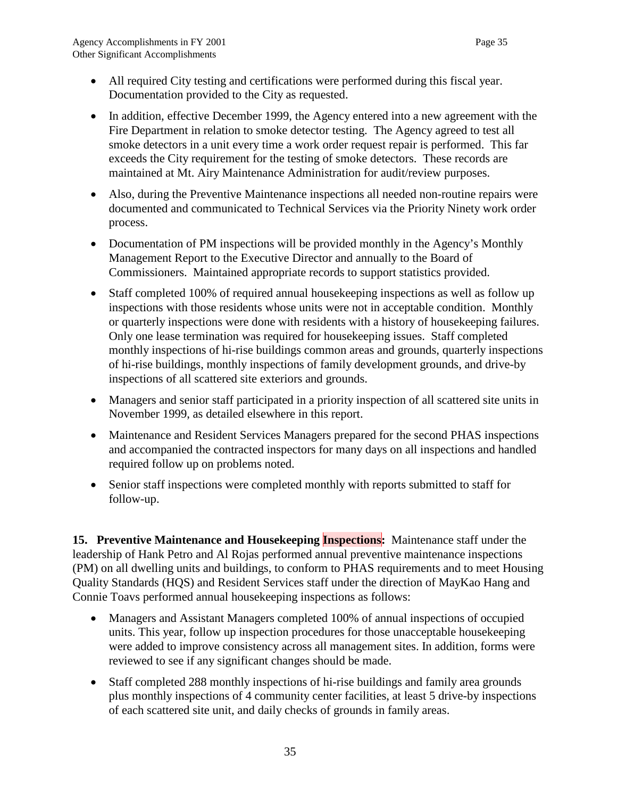- All required City testing and certifications were performed during this fiscal year. Documentation provided to the City as requested.
- In addition, effective December 1999, the Agency entered into a new agreement with the Fire Department in relation to smoke detector testing. The Agency agreed to test all smoke detectors in a unit every time a work order request repair is performed. This far exceeds the City requirement for the testing of smoke detectors. These records are maintained at Mt. Airy Maintenance Administration for audit/review purposes.
- Also, during the Preventive Maintenance inspections all needed non-routine repairs were documented and communicated to Technical Services via the Priority Ninety work order process.
- Documentation of PM inspections will be provided monthly in the Agency's Monthly Management Report to the Executive Director and annually to the Board of Commissioners. Maintained appropriate records to support statistics provided.
- Staff completed 100% of required annual house keeping inspections as well as follow up inspections with those residents whose units were not in acceptable condition. Monthly or quarterly inspections were done with residents with a history of housekeeping failures. Only one lease termination was required for housekeeping issues. Staff completed monthly inspections of hi-rise buildings common areas and grounds, quarterly inspections of hi-rise buildings, monthly inspections of family development grounds, and drive-by inspections of all scattered site exteriors and grounds.
- Managers and senior staff participated in a priority inspection of all scattered site units in November 1999, as detailed elsewhere in this report.
- Maintenance and Resident Services Managers prepared for the second PHAS inspections and accompanied the contracted inspectors for many days on all inspections and handled required follow up on problems noted.
- Senior staff inspections were completed monthly with reports submitted to staff for follow-up.

**15. Preventive Maintenance and Housekeeping Inspections:** Maintenance staff under the leadership of Hank Petro and Al Rojas performed annual preventive maintenance inspections (PM) on all dwelling units and buildings, to conform to PHAS requirements and to meet Housing Quality Standards (HQS) and Resident Services staff under the direction of MayKao Hang and Connie Toavs performed annual housekeeping inspections as follows:

- Managers and Assistant Managers completed 100% of annual inspections of occupied units. This year, follow up inspection procedures for those unacceptable housekeeping were added to improve consistency across all management sites. In addition, forms were reviewed to see if any significant changes should be made.
- Staff completed 288 monthly inspections of hi-rise buildings and family area grounds plus monthly inspections of 4 community center facilities, at least 5 drive-by inspections of each scattered site unit, and daily checks of grounds in family areas.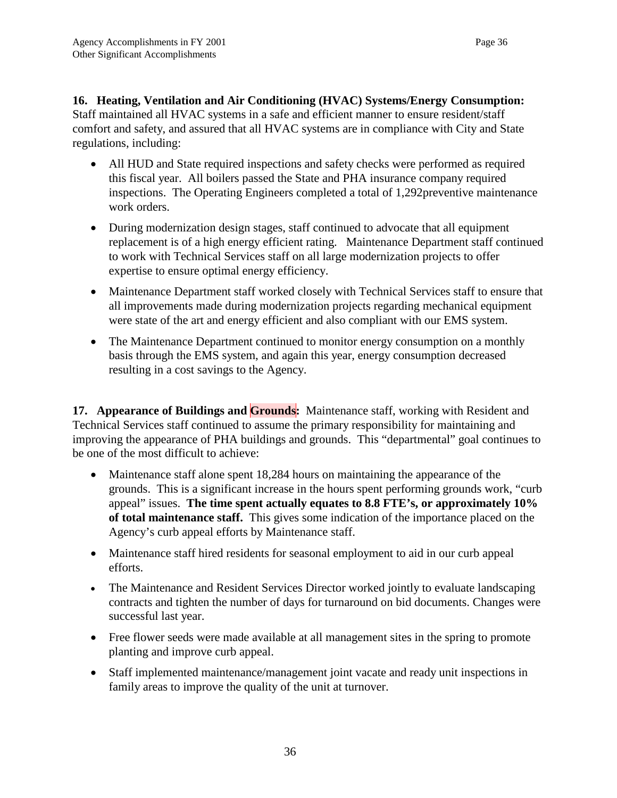**16. Heating, Ventilation and Air Conditioning (HVAC) Systems/Energy Consumption:** Staff maintained all HVAC systems in a safe and efficient manner to ensure resident/staff comfort and safety, and assured that all HVAC systems are in compliance with City and State regulations, including:

- All HUD and State required inspections and safety checks were performed as required this fiscal year. All boilers passed the State and PHA insurance company required inspections. The Operating Engineers completed a total of 1,292preventive maintenance work orders.
- During modernization design stages, staff continued to advocate that all equipment replacement is of a high energy efficient rating. Maintenance Department staff continued to work with Technical Services staff on all large modernization projects to offer expertise to ensure optimal energy efficiency.
- Maintenance Department staff worked closely with Technical Services staff to ensure that all improvements made during modernization projects regarding mechanical equipment were state of the art and energy efficient and also compliant with our EMS system.
- The Maintenance Department continued to monitor energy consumption on a monthly basis through the EMS system, and again this year, energy consumption decreased resulting in a cost savings to the Agency.

**17. Appearance of Buildings and Grounds:** Maintenance staff, working with Resident and Technical Services staff continued to assume the primary responsibility for maintaining and improving the appearance of PHA buildings and grounds. This "departmental" goal continues to be one of the most difficult to achieve:

- Maintenance staff alone spent 18,284 hours on maintaining the appearance of the grounds. This is a significant increase in the hours spent performing grounds work, "curb appeal" issues. **The time spent actually equates to 8.8 FTE's, or approximately 10% of total maintenance staff.** This gives some indication of the importance placed on the Agency's curb appeal efforts by Maintenance staff.
- Maintenance staff hired residents for seasonal employment to aid in our curb appeal efforts.
- The Maintenance and Resident Services Director worked jointly to evaluate landscaping contracts and tighten the number of days for turnaround on bid documents. Changes were successful last year.
- Free flower seeds were made available at all management sites in the spring to promote planting and improve curb appeal.
- Staff implemented maintenance/management joint vacate and ready unit inspections in family areas to improve the quality of the unit at turnover.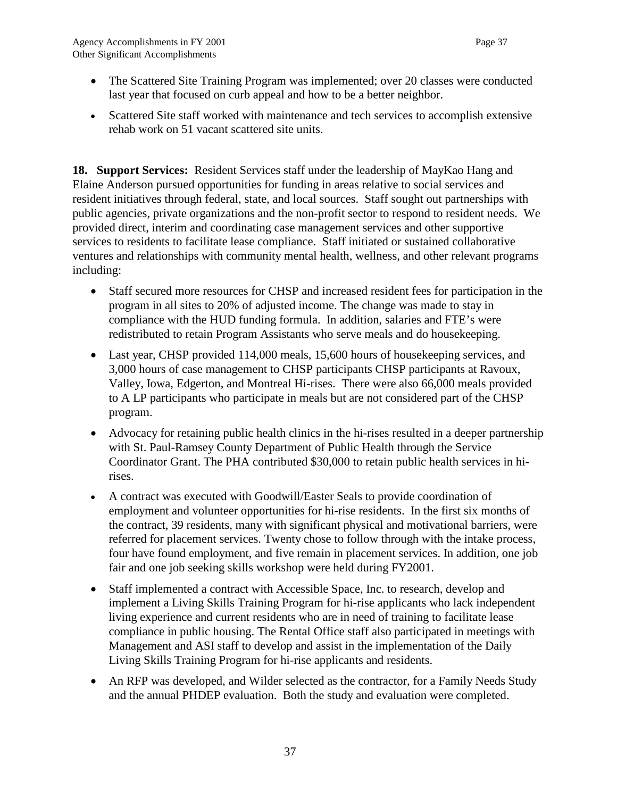- The Scattered Site Training Program was implemented; over 20 classes were conducted last year that focused on curb appeal and how to be a better neighbor.
- Scattered Site staff worked with maintenance and tech services to accomplish extensive rehab work on 51 vacant scattered site units.

**18. Support Services:** Resident Services staff under the leadership of MayKao Hang and Elaine Anderson pursued opportunities for funding in areas relative to social services and resident initiatives through federal, state, and local sources. Staff sought out partnerships with public agencies, private organizations and the non-profit sector to respond to resident needs. We provided direct, interim and coordinating case management services and other supportive services to residents to facilitate lease compliance. Staff initiated or sustained collaborative ventures and relationships with community mental health, wellness, and other relevant programs including:

- Staff secured more resources for CHSP and increased resident fees for participation in the program in all sites to 20% of adjusted income. The change was made to stay in compliance with the HUD funding formula. In addition, salaries and FTE's were redistributed to retain Program Assistants who serve meals and do housekeeping.
- Last year, CHSP provided 114,000 meals, 15,600 hours of housekeeping services, and 3,000 hours of case management to CHSP participants CHSP participants at Ravoux, Valley, Iowa, Edgerton, and Montreal Hi-rises. There were also 66,000 meals provided to A LP participants who participate in meals but are not considered part of the CHSP program.
- Advocacy for retaining public health clinics in the hi-rises resulted in a deeper partnership with St. Paul-Ramsey County Department of Public Health through the Service Coordinator Grant. The PHA contributed \$30,000 to retain public health services in hirises.
- A contract was executed with Goodwill/Easter Seals to provide coordination of employment and volunteer opportunities for hi-rise residents. In the first six months of the contract, 39 residents, many with significant physical and motivational barriers, were referred for placement services. Twenty chose to follow through with the intake process, four have found employment, and five remain in placement services. In addition, one job fair and one job seeking skills workshop were held during FY2001.
- Staff implemented a contract with Accessible Space, Inc. to research, develop and implement a Living Skills Training Program for hi-rise applicants who lack independent living experience and current residents who are in need of training to facilitate lease compliance in public housing. The Rental Office staff also participated in meetings with Management and ASI staff to develop and assist in the implementation of the Daily Living Skills Training Program for hi-rise applicants and residents.
- An RFP was developed, and Wilder selected as the contractor, for a Family Needs Study and the annual PHDEP evaluation. Both the study and evaluation were completed.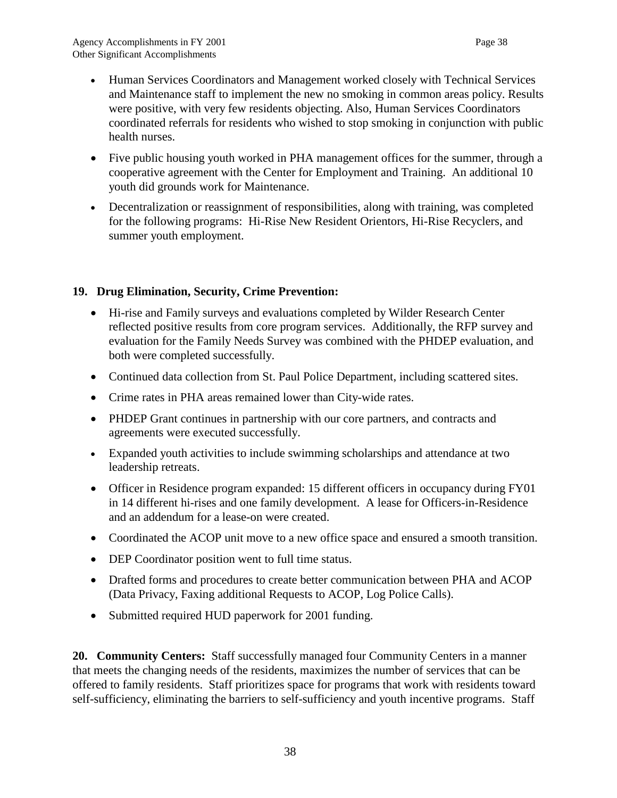- Human Services Coordinators and Management worked closely with Technical Services and Maintenance staff to implement the new no smoking in common areas policy. Results were positive, with very few residents objecting. Also, Human Services Coordinators coordinated referrals for residents who wished to stop smoking in conjunction with public health nurses.
- Five public housing youth worked in PHA management offices for the summer, through a cooperative agreement with the Center for Employment and Training. An additional 10 youth did grounds work for Maintenance.
- Decentralization or reassignment of responsibilities, along with training, was completed for the following programs: Hi-Rise New Resident Orientors, Hi-Rise Recyclers, and summer youth employment.

### **19. Drug Elimination, Security, Crime Prevention:**

- Hi-rise and Family surveys and evaluations completed by Wilder Research Center reflected positive results from core program services. Additionally, the RFP survey and evaluation for the Family Needs Survey was combined with the PHDEP evaluation, and both were completed successfully.
- Continued data collection from St. Paul Police Department, including scattered sites.
- Crime rates in PHA areas remained lower than City-wide rates.
- PHDEP Grant continues in partnership with our core partners, and contracts and agreements were executed successfully.
- Expanded youth activities to include swimming scholarships and attendance at two leadership retreats.
- Officer in Residence program expanded: 15 different officers in occupancy during FY01 in 14 different hi-rises and one family development. A lease for Officers-in-Residence and an addendum for a lease-on were created.
- Coordinated the ACOP unit move to a new office space and ensured a smooth transition.
- DEP Coordinator position went to full time status.
- Drafted forms and procedures to create better communication between PHA and ACOP (Data Privacy, Faxing additional Requests to ACOP, Log Police Calls).
- Submitted required HUD paperwork for 2001 funding.

**20. Community Centers:** Staff successfully managed four Community Centers in a manner that meets the changing needs of the residents, maximizes the number of services that can be offered to family residents. Staff prioritizes space for programs that work with residents toward self-sufficiency, eliminating the barriers to self-sufficiency and youth incentive programs. Staff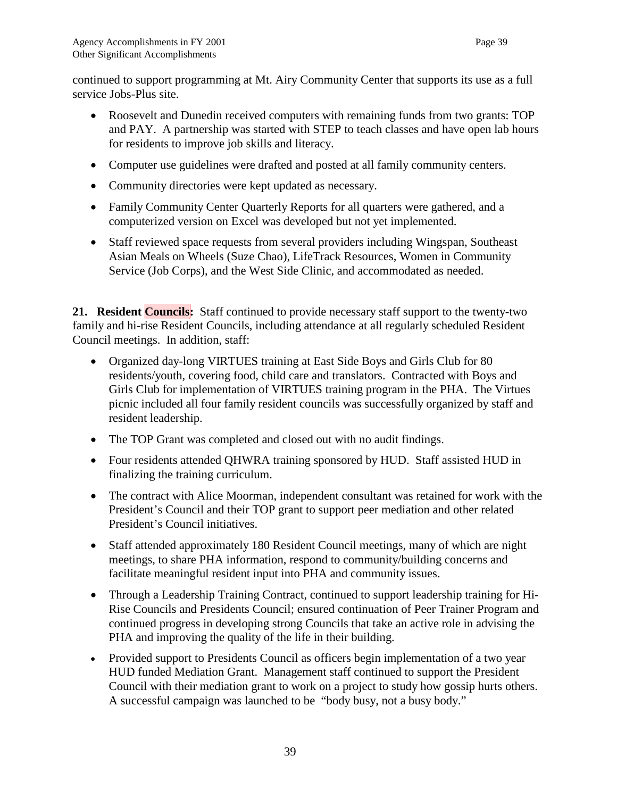continued to support programming at Mt. Airy Community Center that supports its use as a full service Jobs-Plus site.

- Roosevelt and Dunedin received computers with remaining funds from two grants: TOP and PAY. A partnership was started with STEP to teach classes and have open lab hours for residents to improve job skills and literacy.
- Computer use guidelines were drafted and posted at all family community centers.
- Community directories were kept updated as necessary.
- Family Community Center Quarterly Reports for all quarters were gathered, and a computerized version on Excel was developed but not yet implemented.
- Staff reviewed space requests from several providers including Wingspan, Southeast Asian Meals on Wheels (Suze Chao), LifeTrack Resources, Women in Community Service (Job Corps), and the West Side Clinic, and accommodated as needed.

21. Resident **Councils:** Staff continued to provide necessary staff support to the twenty-two family and hi-rise Resident Councils, including attendance at all regularly scheduled Resident Council meetings. In addition, staff:

- Organized day-long VIRTUES training at East Side Boys and Girls Club for 80 residents/youth, covering food, child care and translators. Contracted with Boys and Girls Club for implementation of VIRTUES training program in the PHA. The Virtues picnic included all four family resident councils was successfully organized by staff and resident leadership.
- The TOP Grant was completed and closed out with no audit findings.
- Four residents attended QHWRA training sponsored by HUD. Staff assisted HUD in finalizing the training curriculum.
- The contract with Alice Moorman, independent consultant was retained for work with the President's Council and their TOP grant to support peer mediation and other related President's Council initiatives.
- Staff attended approximately 180 Resident Council meetings, many of which are night meetings, to share PHA information, respond to community/building concerns and facilitate meaningful resident input into PHA and community issues.
- Through a Leadership Training Contract, continued to support leadership training for Hi-Rise Councils and Presidents Council; ensured continuation of Peer Trainer Program and continued progress in developing strong Councils that take an active role in advising the PHA and improving the quality of the life in their building.
- Provided support to Presidents Council as officers begin implementation of a two year HUD funded Mediation Grant. Management staff continued to support the President Council with their mediation grant to work on a project to study how gossip hurts others. A successful campaign was launched to be "body busy, not a busy body."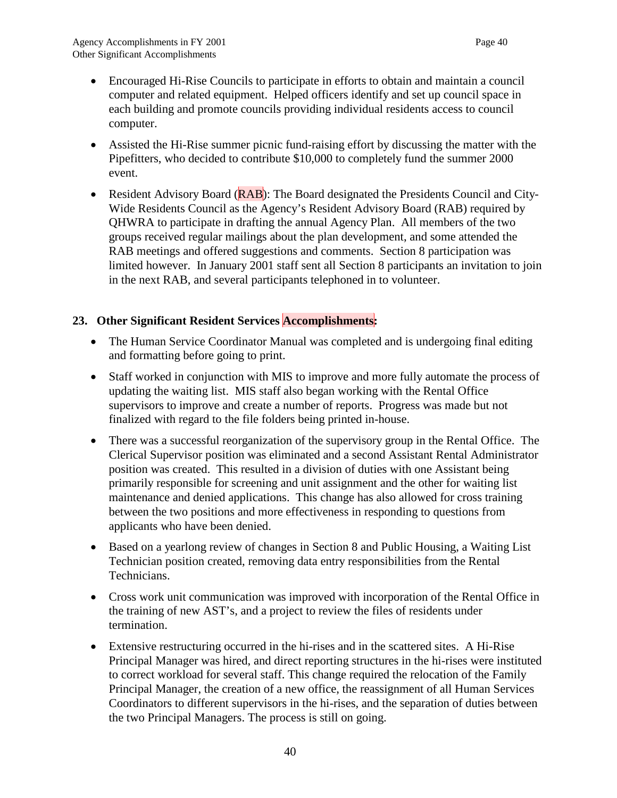- Encouraged Hi-Rise Councils to participate in efforts to obtain and maintain a council computer and related equipment. Helped officers identify and set up council space in each building and promote councils providing individual residents access to council computer.
- Assisted the Hi-Rise summer picnic fund-raising effort by discussing the matter with the Pipefitters, who decided to contribute \$10,000 to completely fund the summer 2000 event.
- Resident Advisory Board (**RAB**): The Board designated the Presidents Council and City-Wide Residents Council as the Agency's Resident Advisory Board (RAB) required by QHWRA to participate in drafting the annual Agency Plan. All members of the two groups received regular mailings about the plan development, and some attended the RAB meetings and offered suggestions and comments. Section 8 participation was limited however. In January 2001 staff sent all Section 8 participants an invitation to join in the next RAB, and several participants telephoned in to volunteer.

### **23. Other Significant Resident Services Accomplishments:**

- The Human Service Coordinator Manual was completed and is undergoing final editing and formatting before going to print.
- Staff worked in conjunction with MIS to improve and more fully automate the process of updating the waiting list. MIS staff also began working with the Rental Office supervisors to improve and create a number of reports. Progress was made but not finalized with regard to the file folders being printed in-house.
- There was a successful reorganization of the supervisory group in the Rental Office. The Clerical Supervisor position was eliminated and a second Assistant Rental Administrator position was created. This resulted in a division of duties with one Assistant being primarily responsible for screening and unit assignment and the other for waiting list maintenance and denied applications. This change has also allowed for cross training between the two positions and more effectiveness in responding to questions from applicants who have been denied.
- Based on a yearlong review of changes in Section 8 and Public Housing, a Waiting List Technician position created, removing data entry responsibilities from the Rental Technicians.
- Cross work unit communication was improved with incorporation of the Rental Office in the training of new AST's, and a project to review the files of residents under termination.
- Extensive restructuring occurred in the hi-rises and in the scattered sites. A Hi-Rise Principal Manager was hired, and direct reporting structures in the hi-rises were instituted to correct workload for several staff. This change required the relocation of the Family Principal Manager, the creation of a new office, the reassignment of all Human Services Coordinators to different supervisors in the hi-rises, and the separation of duties between the two Principal Managers. The process is still on going.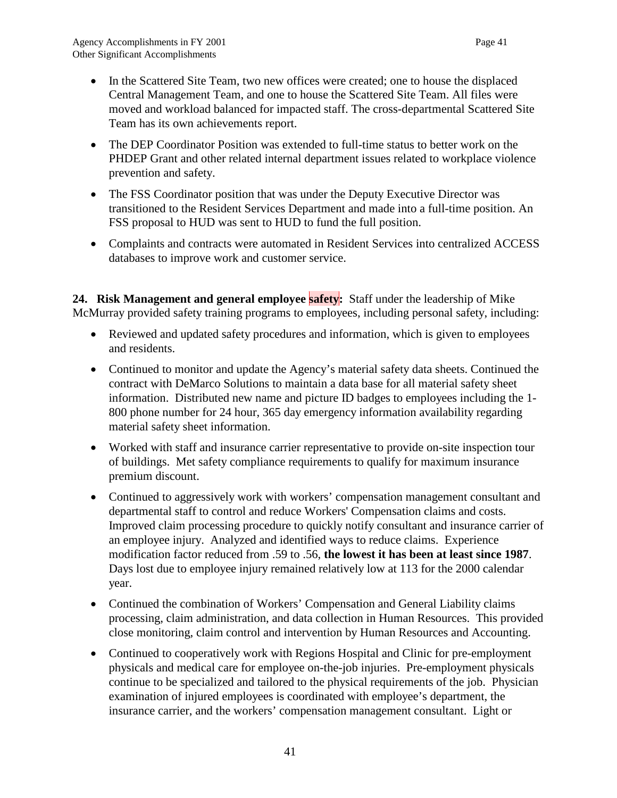- In the Scattered Site Team, two new offices were created; one to house the displaced Central Management Team, and one to house the Scattered Site Team. All files were moved and workload balanced for impacted staff. The cross-departmental Scattered Site Team has its own achievements report.
- The DEP Coordinator Position was extended to full-time status to better work on the PHDEP Grant and other related internal department issues related to workplace violence prevention and safety.
- The FSS Coordinator position that was under the Deputy Executive Director was transitioned to the Resident Services Department and made into a full-time position. An FSS proposal to HUD was sent to HUD to fund the full position.
- Complaints and contracts were automated in Resident Services into centralized ACCESS databases to improve work and customer service.

24. Risk Management and general employee **safety**: Staff under the leadership of Mike McMurray provided safety training programs to employees, including personal safety, including:

- Reviewed and updated safety procedures and information, which is given to employees and residents.
- Continued to monitor and update the Agency's material safety data sheets. Continued the contract with DeMarco Solutions to maintain a data base for all material safety sheet information. Distributed new name and picture ID badges to employees including the 1- 800 phone number for 24 hour, 365 day emergency information availability regarding material safety sheet information.
- Worked with staff and insurance carrier representative to provide on-site inspection tour of buildings. Met safety compliance requirements to qualify for maximum insurance premium discount.
- Continued to aggressively work with workers' compensation management consultant and departmental staff to control and reduce Workers' Compensation claims and costs. Improved claim processing procedure to quickly notify consultant and insurance carrier of an employee injury. Analyzed and identified ways to reduce claims. Experience modification factor reduced from .59 to .56, **the lowest it has been at least since 1987**. Days lost due to employee injury remained relatively low at 113 for the 2000 calendar year.
- Continued the combination of Workers' Compensation and General Liability claims processing, claim administration, and data collection in Human Resources. This provided close monitoring, claim control and intervention by Human Resources and Accounting.
- Continued to cooperatively work with Regions Hospital and Clinic for pre-employment physicals and medical care for employee on-the-job injuries. Pre-employment physicals continue to be specialized and tailored to the physical requirements of the job. Physician examination of injured employees is coordinated with employee's department, the insurance carrier, and the workers' compensation management consultant. Light or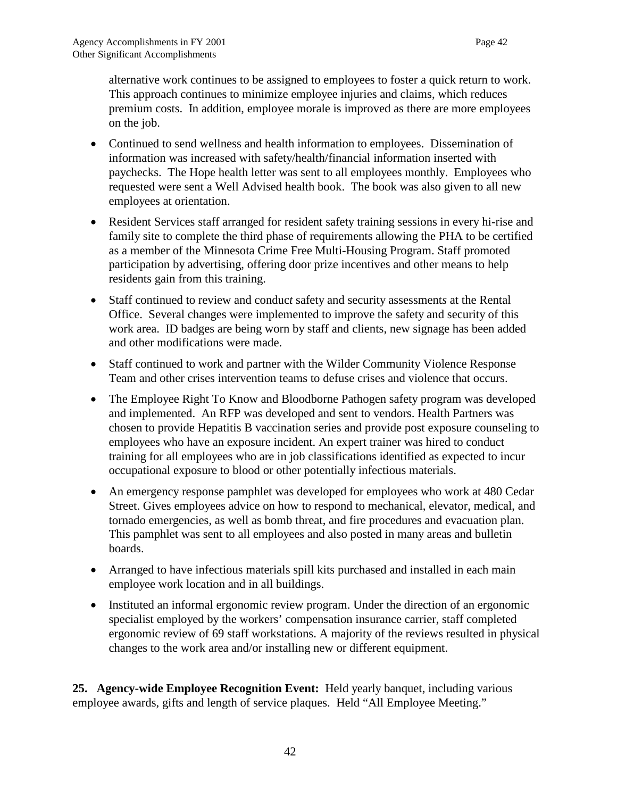alternative work continues to be assigned to employees to foster a quick return to work. This approach continues to minimize employee injuries and claims, which reduces premium costs. In addition, employee morale is improved as there are more employees on the job.

- Continued to send wellness and health information to employees. Dissemination of information was increased with safety/health/financial information inserted with paychecks. The Hope health letter was sent to all employees monthly. Employees who requested were sent a Well Advised health book. The book was also given to all new employees at orientation.
- Resident Services staff arranged for resident safety training sessions in every hi-rise and family site to complete the third phase of requirements allowing the PHA to be certified as a member of the Minnesota Crime Free Multi-Housing Program. Staff promoted participation by advertising, offering door prize incentives and other means to help residents gain from this training.
- Staff continued to review and conduc*t* safety and security assessment*s* at the Rental Office. Several changes were implemented to improve the safety and security of this work area. ID badges are being worn by staff and clients, new signage has been added and other modifications were made.
- Staff continued to work and partner with the Wilder Community Violence Response Team and other crises intervention teams to defuse crises and violence that occurs.
- The Employee Right To Know and Bloodborne Pathogen safety program was developed and implemented. An RFP was developed and sent to vendors. Health Partners was chosen to provide Hepatitis B vaccination series and provide post exposure counseling to employees who have an exposure incident. An expert trainer was hired to conduct training for all employees who are in job classifications identified as expected to incur occupational exposure to blood or other potentially infectious materials.
- An emergency response pamphlet was developed for employees who work at 480 Cedar Street. Gives employees advice on how to respond to mechanical, elevator, medical, and tornado emergencies, as well as bomb threat, and fire procedures and evacuation plan. This pamphlet was sent to all employees and also posted in many areas and bulletin boards.
- Arranged to have infectious materials spill kits purchased and installed in each main employee work location and in all buildings.
- Instituted an informal ergonomic review program. Under the direction of an ergonomic specialist employed by the workers' compensation insurance carrier, staff completed ergonomic review of 69 staff workstations. A majority of the reviews resulted in physical changes to the work area and/or installing new or different equipment.

**25. Agency-wide Employee Recognition Event:** Held yearly banquet, including various employee awards, gifts and length of service plaques. Held "All Employee Meeting."